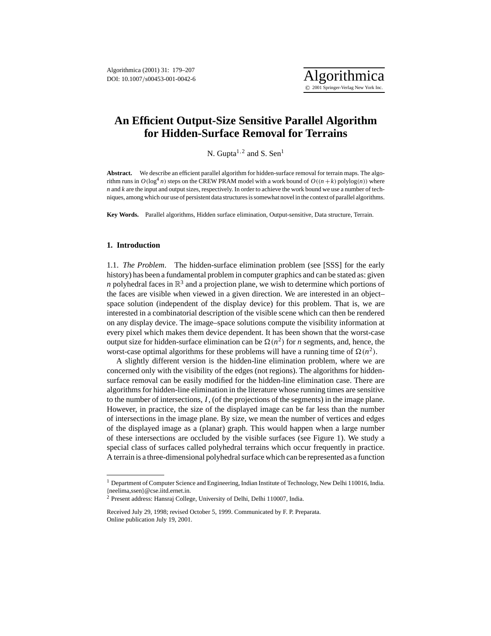# **An Efficient Output-Size Sensitive Parallel Algorithm for Hidden-Surface Removal for Terrains**

N. Gupta<sup>1,2</sup> and S. Sen<sup>1</sup>

**Abstract.** We describe an efficient parallel algorithm for hidden-surface removal for terrain maps. The algorithm runs in  $O(log^4 n)$  steps on the CREW PRAM model with a work bound of  $O((n+k)$  polylog(*n*)) where *n* and *k* are the input and output sizes, respectively. In order to achieve the work bound we use a number of techniques, among which our use of persistent data structures is somewhat novel in the context of parallel algorithms.

**Key Words.** Parallel algorithms, Hidden surface elimination, Output-sensitive, Data structure, Terrain.

## **1. Introduction**

1.1. *The Problem*. The hidden-surface elimination problem (see [SSS] for the early history) has been a fundamental problem in computer graphics and can be stated as: given *n* polyhedral faces in  $\mathbb{R}^3$  and a projection plane, we wish to determine which portions of the faces are visible when viewed in a given direction. We are interested in an object– space solution (independent of the display device) for this problem. That is, we are interested in a combinatorial description of the visible scene which can then be rendered on any display device. The image–space solutions compute the visibility information at every pixel which makes them device dependent. It has been shown that the worst-case output size for hidden-surface elimination can be  $\Omega(n^2)$  for *n* segments, and, hence, the worst-case optimal algorithms for these problems will have a running time of  $\Omega(n^2)$ .

A slightly different version is the hidden-line elimination problem, where we are concerned only with the visibility of the edges (not regions). The algorithms for hiddensurface removal can be easily modified for the hidden-line elimination case. There are algorithms for hidden-line elimination in the literature whose running times are sensitive to the number of intersections, *I*, (of the projections of the segments) in the image plane. However, in practice, the size of the displayed image can be far less than the number of intersections in the image plane. By size, we mean the number of vertices and edges of the displayed image as a (planar) graph. This would happen when a large number of these intersections are occluded by the visible surfaces (see Figure 1). We study a special class of surfaces called polyhedral terrains which occur frequently in practice. A terrain is a three-dimensional polyhedral surface which can be represented as a function

<sup>&</sup>lt;sup>1</sup> Department of Computer Science and Engineering, Indian Institute of Technology, New Delhi 110016, India. {neelima,ssen}@cse.iitd.ernet.in.

<sup>&</sup>lt;sup>2</sup> Present address: Hansraj College, University of Delhi, Delhi 110007, India.

Received July 29, 1998; revised October 5, 1999. Communicated by F. P. Preparata. Online publication July 19, 2001.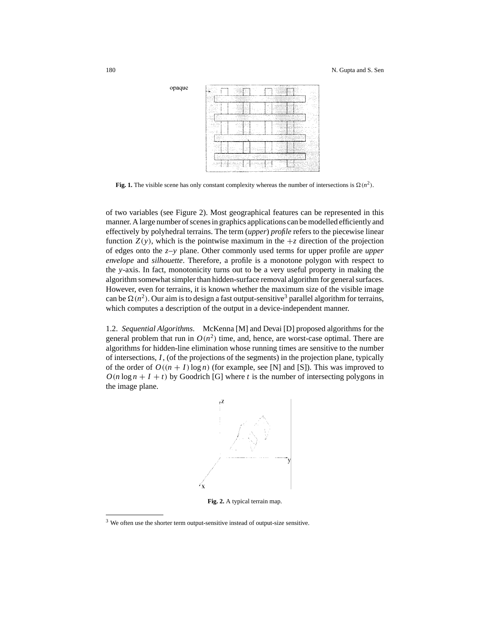## 180 N. Gupta and S. Sen

opaque

|              | andi<br>-3                                | <br>m.<br>o no |
|--------------|-------------------------------------------|----------------|
|              | 12                                        |                |
|              |                                           | w<br>$\cdots$  |
| $\mathbf{r}$ | ×<br>13<br>- 22<br>×.<br>15.111<br>$\sim$ |                |
|              |                                           | $\sim$         |
|              | A.<br>. .<br>15.6<br>÷<br>w.              |                |
|              |                                           |                |

**Fig. 1.** The visible scene has only constant complexity whereas the number of intersections is  $\Omega(n^2)$ .

of two variables (see Figure 2). Most geographical features can be represented in this manner. A large number of scenes in graphics applications can be modelled efficiently and effectively by polyhedral terrains. The term (*upper*) *profile* refers to the piecewise linear function  $Z(y)$ , which is the pointwise maximum in the  $+z$  direction of the projection of edges onto the *z*–*y* plane. Other commonly used terms for upper profile are *upper envelope* and *silhouette*. Therefore, a profile is a monotone polygon with respect to the *y*-axis. In fact, monotonicity turns out to be a very useful property in making the algorithm somewhat simpler than hidden-surface removal algorithm for general surfaces. However, even for terrains, it is known whether the maximum size of the visible image can be  $\Omega(n^2)$ . Our aim is to design a fast output-sensitive<sup>3</sup> parallel algorithm for terrains, which computes a description of the output in a device-independent manner.

1.2. *Sequential Algorithms*. McKenna [M] and Devai [D] proposed algorithms for the general problem that run in  $O(n^2)$  time, and, hence, are worst-case optimal. There are algorithms for hidden-line elimination whose running times are sensitive to the number of intersections, *I*, (of the projections of the segments) in the projection plane, typically of the order of  $O((n + I) \log n)$  (for example, see [N] and [S]). This was improved to  $O(n \log n + I + t)$  by Goodrich [G] where *t* is the number of intersecting polygons in the image plane.



**Fig. 2.** A typical terrain map.

<sup>&</sup>lt;sup>3</sup> We often use the shorter term output-sensitive instead of output-size sensitive.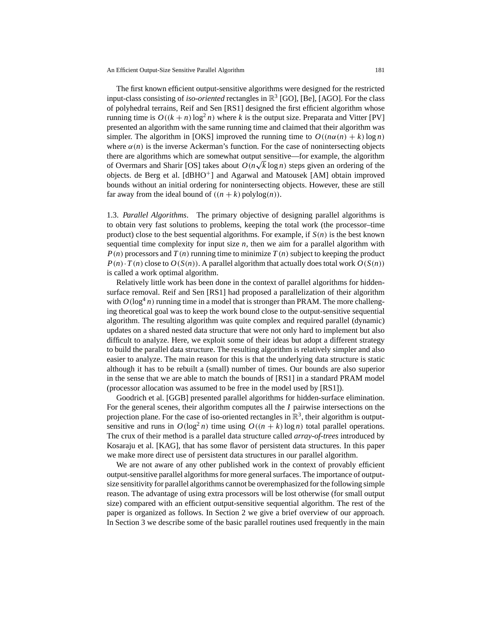The first known efficient output-sensitive algorithms were designed for the restricted input-class consisting of *iso-oriented* rectangles in  $\mathbb{R}^3$  [GO], [Be], [AGO]. For the class of polyhedral terrains, Reif and Sen [RS1] designed the first efficient algorithm whose running time is  $O((k + n) \log^2 n)$  where *k* is the output size. Preparata and Vitter [PV] presented an algorithm with the same running time and claimed that their algorithm was simpler. The algorithm in [OKS] improved the running time to  $O((n\alpha(n) + k) \log n)$ where  $\alpha(n)$  is the inverse Ackerman's function. For the case of nonintersecting objects there are algorithms which are somewhat output sensitive—for example, the algorithm there are algorithms which are somewhat output sensitive—for example, the algorithm<br>of Overmars and Sharir [OS] takes about  $O(n\sqrt{k} \log n)$  steps given an ordering of the objects. de Berg et al.  $[dBHO<sup>+</sup>]$  and Agarwal and Matousek [AM] obtain improved bounds without an initial ordering for nonintersecting objects. However, these are still far away from the ideal bound of  $((n + k)$  polylog $(n)$ ).

1.3. *Parallel Algorithms*. The primary objective of designing parallel algorithms is to obtain very fast solutions to problems, keeping the total work (the processor–time product) close to the best sequential algorithms. For example, if *S*(*n*) is the best known sequential time complexity for input size *n*, then we aim for a parallel algorithm with  $P(n)$  processors and  $T(n)$  running time to minimize  $T(n)$  subject to keeping the product  $P(n) \cdot T(n)$  close to  $O(S(n))$ . A parallel algorithm that actually does total work  $O(S(n))$ is called a work optimal algorithm.

Relatively little work has been done in the context of parallel algorithms for hiddensurface removal. Reif and Sen [RS1] had proposed a parallelization of their algorithm with  $O(\log^4 n)$  running time in a model that is stronger than PRAM. The more challenging theoretical goal was to keep the work bound close to the output-sensitive sequential algorithm. The resulting algorithm was quite complex and required parallel (dynamic) updates on a shared nested data structure that were not only hard to implement but also difficult to analyze. Here, we exploit some of their ideas but adopt a different strategy to build the parallel data structure. The resulting algorithm is relatively simpler and also easier to analyze. The main reason for this is that the underlying data structure is static although it has to be rebuilt a (small) number of times. Our bounds are also superior in the sense that we are able to match the bounds of [RS1] in a standard PRAM model (processor allocation was assumed to be free in the model used by [RS1]).

Goodrich et al. [GGB] presented parallel algorithms for hidden-surface elimination. For the general scenes, their algorithm computes all the *I* pairwise intersections on the projection plane. For the case of iso-oriented rectangles in  $\mathbb{R}^3$ , their algorithm is outputsensitive and runs in  $O(\log^2 n)$  time using  $O((n + k) \log n)$  total parallel operations. The crux of their method is a parallel data structure called *array-of-trees* introduced by Kosaraju et al. [KAG], that has some flavor of persistent data structures. In this paper we make more direct use of persistent data structures in our parallel algorithm.

We are not aware of any other published work in the context of provably efficient output-sensitive parallel algorithms for more general surfaces. The importance of outputsize sensitivity for parallel algorithms cannot be overemphasized for the following simple reason. The advantage of using extra processors will be lost otherwise (for small output size) compared with an efficient output-sensitive sequential algorithm. The rest of the paper is organized as follows. In Section 2 we give a brief overview of our approach. In Section 3 we describe some of the basic parallel routines used frequently in the main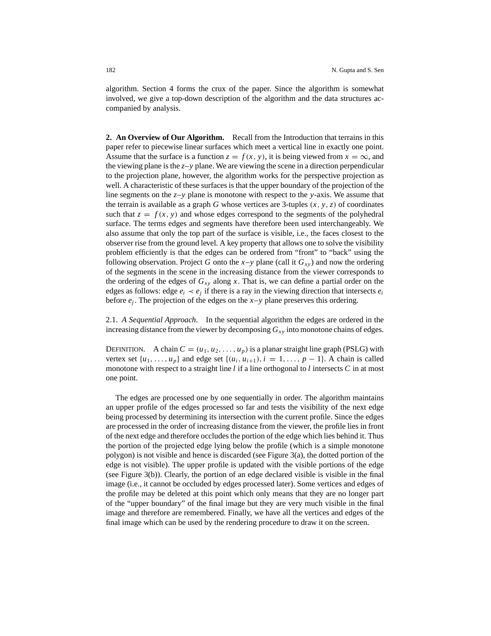algorithm. Section 4 forms the crux of the paper. Since the algorithm is somewhat involved, we give a top-down description of the algorithm and the data structures accompanied by analysis.

**2. An Overview of Our Algorithm.** Recall from the Introduction that terrains in this paper refer to piecewise linear surfaces which meet a vertical line in exactly one point. Assume that the surface is a function  $z = f(x, y)$ , it is being viewed from  $x = \infty$ , and the viewing plane is the  $z-y$  plane. We are viewing the scene in a direction perpendicular to the projection plane, however, the algorithm works for the perspective projection as well. A characteristic of these surfaces is that the upper boundary of the projection of the line segments on the *z*–*y* plane is monotone with respect to the *y*-axis. We assume that the terrain is available as a graph *G* whose vertices are 3-tuples  $(x, y, z)$  of coordinates such that  $z = f(x, y)$  and whose edges correspond to the segments of the polyhedral surface. The terms edges and segments have therefore been used interchangeably. We also assume that only the top part of the surface is visible, i.e., the faces closest to the observer rise from the ground level. A key property that allows one to solve the visibility problem efficiently is that the edges can be ordered from "front" to "back" using the following observation. Project *G* onto the *x*–*y* plane (call it  $G_{xy}$ ) and now the ordering of the segments in the scene in the increasing distance from the viewer corresponds to the ordering of the edges of  $G_{xy}$  along x. That is, we can define a partial order on the edges as follows: edge  $e_i \prec e_j$  if there is a ray in the viewing direction that intersects  $e_i$ before  $e_i$ . The projection of the edges on the  $x-y$  plane preserves this ordering.

2.1. *A Sequential Approach*. In the sequential algorithm the edges are ordered in the increasing distance from the viewer by decomposing  $G_{xy}$  into monotone chains of edges.

DEFINITION. A chain  $C = (u_1, u_2, \ldots, u_p)$  is a planar straight line graph (PSLG) with vertex set  $\{u_1, \ldots, u_p\}$  and edge set  $\{(u_i, u_{i+1}), i = 1, \ldots, p-1\}$ . A chain is called monotone with respect to a straight line *l* if a line orthogonal to *l* intersects *C* in at most one point.

The edges are processed one by one sequentially in order. The algorithm maintains an upper profile of the edges processed so far and tests the visibility of the next edge being processed by determining its intersection with the current profile. Since the edges are processed in the order of increasing distance from the viewer, the profile lies in front of the next edge and therefore occludes the portion of the edge which lies behind it. Thus the portion of the projected edge lying below the profile (which is a simple monotone polygon) is not visible and hence is discarded (see Figure 3(a), the dotted portion of the edge is not visible). The upper profile is updated with the visible portions of the edge (see Figure 3(b)). Clearly, the portion of an edge declared visible is visible in the final image (i.e., it cannot be occluded by edges processed later). Some vertices and edges of the profile may be deleted at this point which only means that they are no longer part of the "upper boundary" of the final image but they are very much visible in the final image and therefore are remembered. Finally, we have all the vertices and edges of the final image which can be used by the rendering procedure to draw it on the screen.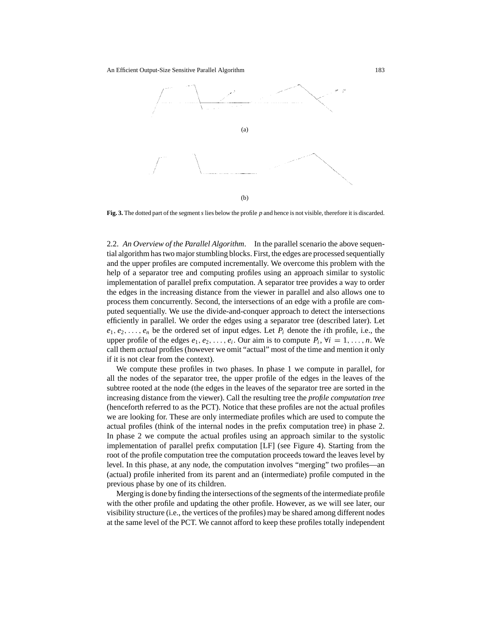

**Fig. 3.** The dotted part of the segment*s* lies below the profile *p* and hence is not visible, therefore it is discarded.

2.2. *An Overview of the Parallel Algorithm*. In the parallel scenario the above sequential algorithm has two major stumbling blocks. First, the edges are processed sequentially and the upper profiles are computed incrementally. We overcome this problem with the help of a separator tree and computing profiles using an approach similar to systolic implementation of parallel prefix computation. A separator tree provides a way to order the edges in the increasing distance from the viewer in parallel and also allows one to process them concurrently. Second, the intersections of an edge with a profile are computed sequentially. We use the divide-and-conquer approach to detect the intersections efficiently in parallel. We order the edges using a separator tree (described later). Let  $e_1, e_2, \ldots, e_n$  be the ordered set of input edges. Let  $P_i$  denote the *i*th profile, i.e., the upper profile of the edges  $e_1, e_2, \ldots, e_i$ . Our aim is to compute  $P_i$ ,  $\forall i = 1, \ldots, n$ . We call them *actual* profiles (however we omit "actual" most of the time and mention it only if it is not clear from the context).

We compute these profiles in two phases. In phase 1 we compute in parallel, for all the nodes of the separator tree, the upper profile of the edges in the leaves of the subtree rooted at the node (the edges in the leaves of the separator tree are sorted in the increasing distance from the viewer). Call the resulting tree the *profile computation tree* (henceforth referred to as the PCT). Notice that these profiles are not the actual profiles we are looking for. These are only intermediate profiles which are used to compute the actual profiles (think of the internal nodes in the prefix computation tree) in phase 2. In phase 2 we compute the actual profiles using an approach similar to the systolic implementation of parallel prefix computation [LF] (see Figure 4). Starting from the root of the profile computation tree the computation proceeds toward the leaves level by level. In this phase, at any node, the computation involves "merging" two profiles—an (actual) profile inherited from its parent and an (intermediate) profile computed in the previous phase by one of its children.

Merging is done by finding the intersections of the segments of the intermediate profile with the other profile and updating the other profile. However, as we will see later, our visibility structure (i.e., the vertices of the profiles) may be shared among different nodes at the same level of the PCT. We cannot afford to keep these profiles totally independent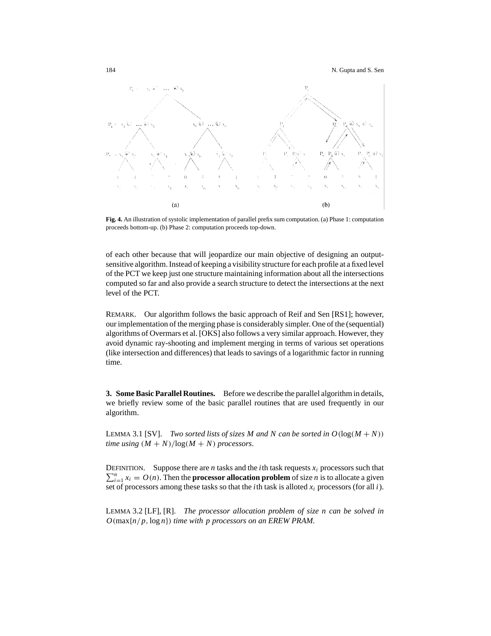

**Fig. 4.** An illustration of systolic implementation of parallel prefix sum computation. (a) Phase 1: computation proceeds bottom-up. (b) Phase 2: computation proceeds top-down.

of each other because that will jeopardize our main objective of designing an outputsensitive algorithm. Instead of keeping a visibility structure for each profile at a fixed level of the PCT we keep just one structure maintaining information about all the intersections computed so far and also provide a search structure to detect the intersections at the next level of the PCT.

REMARK. Our algorithm follows the basic approach of Reif and Sen [RS1]; however, our implementation of the merging phase is considerably simpler. One of the (sequential) algorithms of Overmars et al. [OKS] also follows a very similar approach. However, they avoid dynamic ray-shooting and implement merging in terms of various set operations (like intersection and differences) that leads to savings of a logarithmic factor in running time.

**3. Some Basic Parallel Routines.** Before we describe the parallel algorithm in details, we briefly review some of the basic parallel routines that are used frequently in our algorithm.

LEMMA 3.1 [SV]. *Two sorted lists of sizes M and N can be sorted in*  $O(log(M+N))$ *time using*  $(M + N)/log(M + N)$  *processors.* 

DEFINITION. Suppose there are *n* tasks and the *i*th task requests  $x_i$  processors such that  $\sum_{i=1}^{n} x_i = O(n)$ . Then the **processor allocation problem** of size *n* is to allocate a given  $\sum_{i=1}^{n} x_i = O(n)$ . Then the **processor allocation problem** of size *n* is to allocate a given set of processors among these tasks so that the *i*th task is alloted  $x_i$  processors (for all *i*).

LEMMA 3.2 [LF], [R]. *The processor allocation problem of size n can be solved in O*(max{*n*/*p*, log *n*}) *time with p processors on an EREW PRAM*.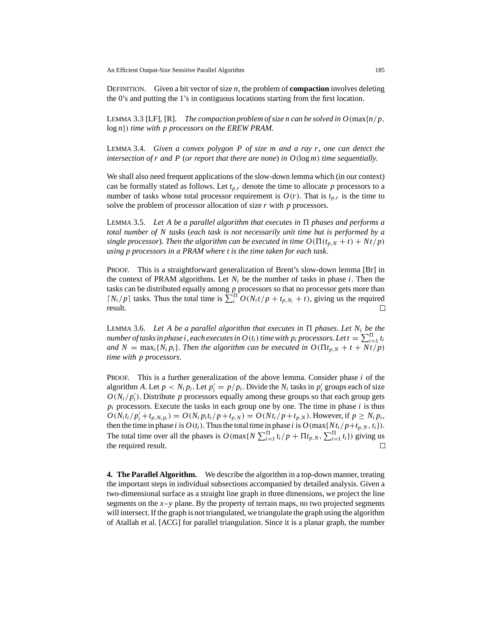DEFINITION. Given a bit vector of size *n*, the problem of **compaction** involves deleting the 0's and putting the 1's in contiguous locations starting from the first location.

LEMMA 3.3 [LF], [R]. *The compaction problem of size n can be solved in*  $O(\max\{n/p\})$ log *n*}) *time with p processors on the EREW PRAM*.

LEMMA 3.4. *Given a convex polygon P of size m and a ray r*, *one can detect the intersection of r and P* (*or report that there are none*) *in O*(log *m*) *time sequentially*.

We shall also need frequent applications of the slow-down lemma which (in our context) can be formally stated as follows. Let  $t_{p,r}$  denote the time to allocate  $p$  processors to a number of tasks whose total processor requirement is  $O(r)$ . That is  $t_{p,r}$  is the time to solve the problem of processor allocation of size *r* with *p* processors.

LEMMA 3.5. Let A be a parallel algorithm that executes in  $\Pi$  phases and performs a *total number of N tasks* (*each task is not necessarily unit time but is performed by a single processor*). Then the algorithm can be executed in time  $O(\Pi(t_{p,N} + t) + Nt/p)$ *using p processors in a PRAM where t is the time taken for each task*.

PROOF. This is a straightforward generalization of Brent's slow-down lemma [Br] in the context of PRAM algorithms. Let  $N_i$  be the number of tasks in phase *i*. Then the tasks can be distributed equally among *p* processors so that no processor gets more than  $\lceil N_i/p \rceil$  tasks. Thus the total time is  $\sum_i^{\Pi} O(N_i t / p + t_{p,N_i} + t)$ , giving us the required result.

LEMMA 3.6. Let A be a parallel algorithm that executes in  $\Pi$  phases. Let  $N_i$  be the  $n$ umber of tasks in phase  $i$  , each executes in  $O(t_i)$  time with  $p_i$  processors. Let  $t = \sum_{i=1}^{\Pi} t_i$ *and*  $N = \max_i \{N_i p_i\}$ . *Then the algorithm can be executed in*  $O(\prod_{p,N} t + Nt/p)$ *time with p processors*.

PROOF. This is a further generalization of the above lemma. Consider phase *i* of the algorithm *A*. Let  $p < N_i p_i$ . Let  $p'_i = p/p_i$ . Divide the  $N_i$  tasks in  $p'_i$  groups each of size  $O(N_i/p_i')$ . Distribute *p* processors equally among these groups so that each group gets  $p_i$  processors. Execute the tasks in each group one by one. The time in phase  $i$  is thus  $O(N_i t_i / p'_i + t_{p,N_i p_i}) = O(N_i p_i t_i / p + t_{p,N}) = O(N t_i / p + t_{p,N})$ . However, if  $p \ge N_i p_i$ , then the time in phase *i* is  $O(t_i)$ . Thus the total time in phase *i* is  $O(\max\{Nt_i/p+t_{p,N}, t_i\})$ . The total time over all the phases is  $O(\max\{N \sum_{i=1}^{\Pi} t_i/p + \prod t_{p,N}, \sum_{i=1}^{\Pi} t_i\})$  giving us the required result.

**4. The Parallel Algorithm.** We describe the algorithm in a top-down manner, treating the important steps in individual subsections accompanied by detailed analysis. Given a two-dimensional surface as a straight line graph in three dimensions, we project the line segments on the  $x-y$  plane. By the property of terrain maps, no two projected segments will intersect. If the graph is not triangulated, we triangulate the graph using the algorithm of Atallah et al. [ACG] for parallel triangulation. Since it is a planar graph, the number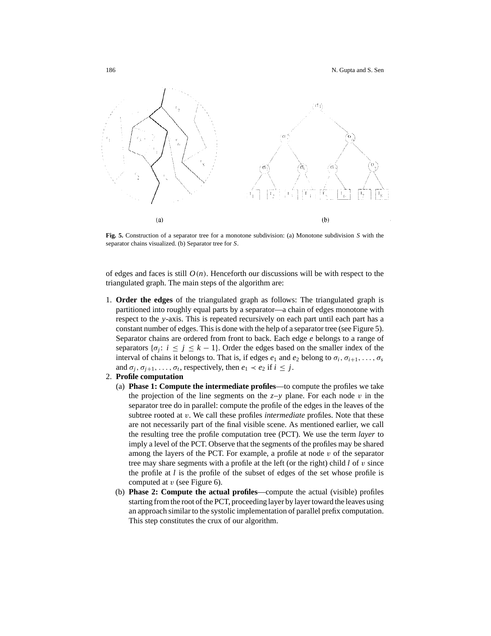

**Fig. 5.** Construction of a separator tree for a monotone subdivision: (a) Monotone subdivision *S* with the separator chains visualized. (b) Separator tree for *S*.

of edges and faces is still  $O(n)$ . Henceforth our discussions will be with respect to the triangulated graph. The main steps of the algorithm are:

- 1. **Order the edges** of the triangulated graph as follows: The triangulated graph is partitioned into roughly equal parts by a separator—a chain of edges monotone with respect to the *y*-axis. This is repeated recursively on each part until each part has a constant number of edges. This is done with the help of a separator tree (see Figure 5). Separator chains are ordered from front to back. Each edge *e* belongs to a range of separators  $\{\sigma_j : i \le j \le k - 1\}$ . Order the edges based on the smaller index of the interval of chains it belongs to. That is, if edges  $e_1$  and  $e_2$  belong to  $\sigma_i$ ,  $\sigma_{i+1}$ , ...,  $\sigma_s$ and  $\sigma_i$ ,  $\sigma_{i+1}$ , ...,  $\sigma_t$ , respectively, then  $e_1 \prec e_2$  if  $i \leq j$ .
- 2. **Profile computation**
	- (a) **Phase 1: Compute the intermediate profiles**—to compute the profiles we take the projection of the line segments on the  $z-y$  plane. For each node v in the separator tree do in parallel: compute the profile of the edges in the leaves of the subtree rooted at v. We call these profiles *intermediate* profiles. Note that these are not necessarily part of the final visible scene. As mentioned earlier, we call the resulting tree the profile computation tree (PCT). We use the term *layer* to imply a level of the PCT. Observe that the segments of the profiles may be shared among the layers of the PCT. For example, a profile at node  $v$  of the separator tree may share segments with a profile at the left (or the right) child *l* of v since the profile at *l* is the profile of the subset of edges of the set whose profile is computed at  $v$  (see Figure 6).
	- (b) **Phase 2: Compute the actual profiles**—compute the actual (visible) profiles starting from the root of the PCT, proceeding layer by layer toward the leaves using an approach similar to the systolic implementation of parallel prefix computation. This step constitutes the crux of our algorithm.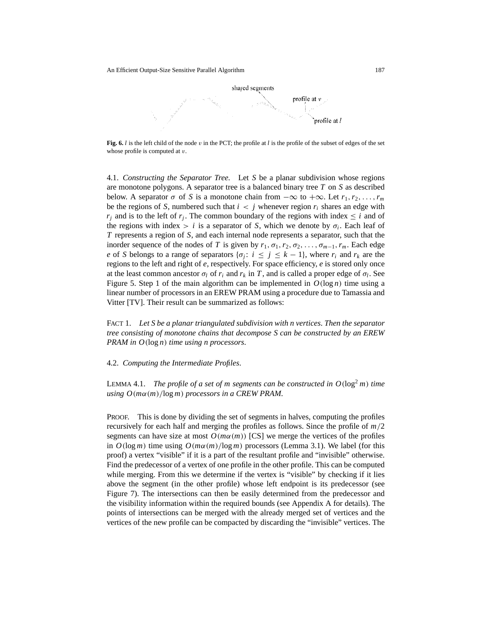

**Fig. 6.** *l* is the left child of the node v in the PCT; the profile at *l* is the profile of the subset of edges of the set whose profile is computed at  $v$ .

4.1. *Constructing the Separator Tree*. Let *S* be a planar subdivision whose regions are monotone polygons. A separator tree is a balanced binary tree *T* on *S* as described below. A separator  $\sigma$  of *S* is a monotone chain from  $-\infty$  to  $+\infty$ . Let  $r_1, r_2, \ldots, r_m$ be the regions of *S*, numbered such that  $i < j$  whenever region  $r_i$  shares an edge with  $r_j$  and is to the left of  $r_j$ . The common boundary of the regions with index  $\leq i$  and of the regions with index  $> i$  is a separator of *S*, which we denote by  $\sigma_i$ . Each leaf of *T* represents a region of *S*, and each internal node represents a separator, such that the inorder sequence of the nodes of *T* is given by  $r_1, \sigma_1, r_2, \sigma_2, \ldots, \sigma_{m-1}, r_m$ . Each edge *e* of *S* belongs to a range of separators  $\{\sigma_i : i \leq j \leq k - 1\}$ , where  $r_i$  and  $r_k$  are the regions to the left and right of *e*, respectively. For space efficiency, *e* is stored only once at the least common ancestor  $\sigma_l$  of  $r_i$  and  $r_k$  in  $T$ , and is called a proper edge of  $\sigma_l$ . See Figure 5. Step 1 of the main algorithm can be implemented in  $O(\log n)$  time using a linear number of processors in an EREW PRAM using a procedure due to Tamassia and Vitter [TV]. Their result can be summarized as follows:

FACT 1. *Let S be a planar triangulated subdivision with n vertices*. *Then the separator tree consisting of monotone chains that decompose S can be constructed by an EREW PRAM in O*(log *n*) *time using n processors*.

### 4.2. *Computing the Intermediate Profiles*.

LEMMA 4.1. *The profile of a set of m segments can be constructed in*  $O(\log^2 m)$  *time using O*(*m*α(*m*)/log *m*) *processors in a CREW PRAM*.

PROOF. This is done by dividing the set of segments in halves, computing the profiles recursively for each half and merging the profiles as follows. Since the profile of *m*/2 segments can have size at most  $O(m\alpha(m))$  [CS] we merge the vertices of the profiles in  $O(\log m)$  time using  $O(m\alpha(m)/\log m)$  processors (Lemma 3.1). We label (for this proof) a vertex "visible" if it is a part of the resultant profile and "invisible" otherwise. Find the predecessor of a vertex of one profile in the other profile. This can be computed while merging. From this we determine if the vertex is "visible" by checking if it lies above the segment (in the other profile) whose left endpoint is its predecessor (see Figure 7). The intersections can then be easily determined from the predecessor and the visibility information within the required bounds (see Appendix A for details). The points of intersections can be merged with the already merged set of vertices and the vertices of the new profile can be compacted by discarding the "invisible" vertices. The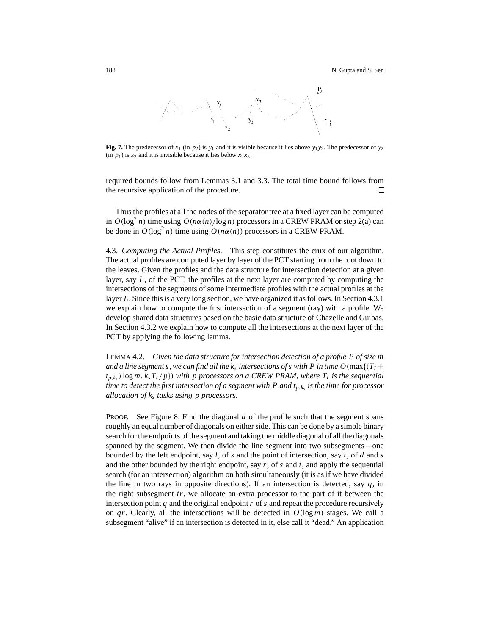

**Fig. 7.** The predecessor of  $x_1$  (in  $p_2$ ) is  $y_1$  and it is visible because it lies above  $y_1y_2$ . The predecessor of  $y_2$ (in  $p_1$ ) is  $x_2$  and it is invisible because it lies below  $x_2x_3$ .

required bounds follow from Lemmas 3.1 and 3.3. The total time bound follows from the recursive application of the procedure.  $\Box$ 

Thus the profiles at all the nodes of the separator tree at a fixed layer can be computed in  $O(\log^2 n)$  time using  $O(n\alpha(n)/\log n)$  processors in a CREW PRAM or step 2(a) can be done in  $O(\log^2 n)$  time using  $O(n\alpha(n))$  processors in a CREW PRAM.

4.3. *Computing the Actual Profiles*. This step constitutes the crux of our algorithm. The actual profiles are computed layer by layer of the PCT starting from the root down to the leaves. Given the profiles and the data structure for intersection detection at a given layer, say *L*, of the PCT, the profiles at the next layer are computed by computing the intersections of the segments of some intermediate profiles with the actual profiles at the layer *L*. Since this is a very long section, we have organized it as follows. In Section 4.3.1 we explain how to compute the first intersection of a segment (ray) with a profile. We develop shared data structures based on the basic data structure of Chazelle and Guibas. In Section 4.3.2 we explain how to compute all the intersections at the next layer of the PCT by applying the following lemma.

LEMMA 4.2. *Given the data structure for intersection detection of a profile P of size m and a line segment s, we can find all the k<sub>s</sub> intersections of s with P in time*  $O(\max\{(T_I +$  $t_{p,k_s}$ ) log *m*,  $k_s T_I / p$ }) *with p processors on a CREW PRAM*, *where*  $T_I$  *is the sequential time to detect the first intersection of a segment with P and*  $t_{p,k_s}$  *is the time for processor allocation of ks tasks using p processors*.

PROOF. See Figure 8. Find the diagonal *d* of the profile such that the segment spans roughly an equal number of diagonals on either side. This can be done by a simple binary search for the endpoints of the segment and taking the middle diagonal of all the diagonals spanned by the segment. We then divide the line segment into two subsegments—one bounded by the left endpoint, say *l*, of *s* and the point of intersection, say *t*, of *d* and *s* and the other bounded by the right endpoint, say *r*, of *s* and *t*, and apply the sequential search (for an intersection) algorithm on both simultaneously (it is as if we have divided the line in two rays in opposite directions). If an intersection is detected, say  $q$ , in the right subsegment *tr*, we allocate an extra processor to the part of it between the intersection point *q* and the original endpoint*r* of *s* and repeat the procedure recursively on *qr*. Clearly, all the intersections will be detected in  $O(\log m)$  stages. We call a subsegment "alive" if an intersection is detected in it, else call it "dead." An application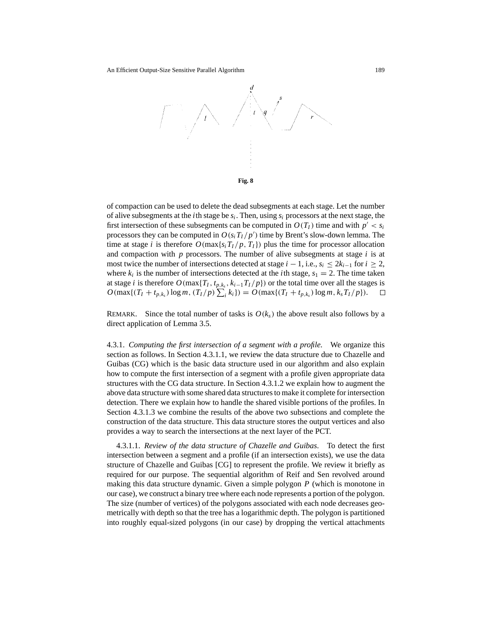

of compaction can be used to delete the dead subsegments at each stage. Let the number of alive subsegments at the *i*th stage be *si* . Then, using *si* processors at the next stage, the first intersection of these subsegments can be computed in  $O(T_I)$  time and with  $p' < s_i$ processors they can be computed in  $O(s_i T_I / p')$  time by Brent's slow-down lemma. The time at stage *i* is therefore  $O(\max\{s_i T_I / p, T_I\})$  plus the time for processor allocation and compaction with  $p$  processors. The number of alive subsegments at stage  $i$  is at most twice the number of intersections detected at stage  $i - 1$ , i.e.,  $s_i \leq 2k_{i-1}$  for  $i \geq 2$ , where  $k_i$  is the number of intersections detected at the *i*th stage,  $s_1 = 2$ . The time taken at stage *i* is therefore  $O(\max\{T_I, t_{p,k_s}, k_{i-1}T_I/p\})$  or the total time over all the stages is  $O(\max\{(T_I + t_{p,k_s})\log m, (T_I/p)\sum_i k_i\}) = O(\max\{(T_I + t_{p,k_s})\log m, k_sT_I/p\}).$ 口

REMARK. Since the total number of tasks is  $O(k<sub>s</sub>)$  the above result also follows by a direct application of Lemma 3.5.

4.3.1. *Computing the first intersection of a segment with a profile*. We organize this section as follows. In Section 4.3.1.1, we review the data structure due to Chazelle and Guibas (CG) which is the basic data structure used in our algorithm and also explain how to compute the first intersection of a segment with a profile given appropriate data structures with the CG data structure. In Section 4.3.1.2 we explain how to augment the above data structure with some shared data structures to make it complete for intersection detection. There we explain how to handle the shared visible portions of the profiles. In Section 4.3.1.3 we combine the results of the above two subsections and complete the construction of the data structure. This data structure stores the output vertices and also provides a way to search the intersections at the next layer of the PCT.

4.3.1.1. *Review of the data structure of Chazelle and Guibas*. To detect the first intersection between a segment and a profile (if an intersection exists), we use the data structure of Chazelle and Guibas [CG] to represent the profile. We review it briefly as required for our purpose. The sequential algorithm of Reif and Sen revolved around making this data structure dynamic. Given a simple polygon *P* (which is monotone in our case), we construct a binary tree where each node represents a portion of the polygon. The size (number of vertices) of the polygons associated with each node decreases geometrically with depth so that the tree has a logarithmic depth. The polygon is partitioned into roughly equal-sized polygons (in our case) by dropping the vertical attachments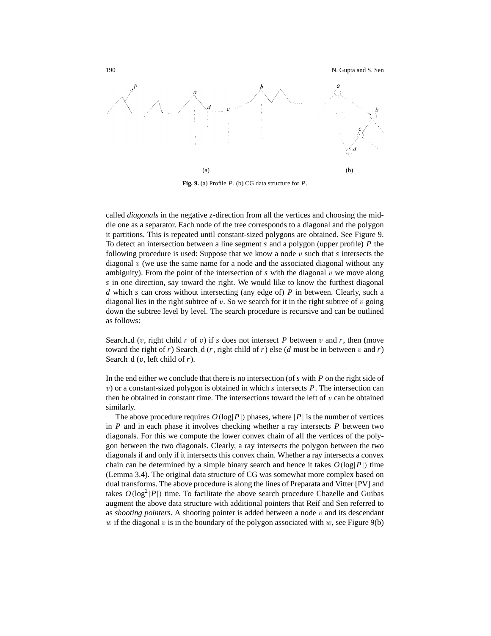

**Fig. 9.** (a) Profile *P*. (b) CG data structure for *P*.

called *diagonals* in the negative *z*-direction from all the vertices and choosing the middle one as a separator. Each node of the tree corresponds to a diagonal and the polygon it partitions. This is repeated until constant-sized polygons are obtained. See Figure 9. To detect an intersection between a line segment *s* and a polygon (upper profile) *P* the following procedure is used: Suppose that we know a node v such that *s* intersects the diagonal  $\nu$  (we use the same name for a node and the associated diagonal without any ambiguity). From the point of the intersection of  $s$  with the diagonal  $v$  we move along *s* in one direction, say toward the right. We would like to know the furthest diagonal *d* which *s* can cross without intersecting (any edge of) *P* in between. Clearly, such a diagonal lies in the right subtree of v. So we search for it in the right subtree of v going down the subtree level by level. The search procedure is recursive and can be outlined as follows:

Search  $d$  (*v*, right child *r* of *v*) if *s* does not intersect *P* between *v* and *r*, then (move toward the right of *r*) Search  $d(r,$  right child of *r*) else (*d* must be in between v and *r*) Search d (v, left child of *r*).

In the end either we conclude that there is no intersection (of*s* with *P* on the right side of v) or a constant-sized polygon is obtained in which *s* intersects *P*. The intersection can then be obtained in constant time. The intersections toward the left of  $v$  can be obtained similarly.

The above procedure requires  $O(\log |P|)$  phases, where  $|P|$  is the number of vertices in *P* and in each phase it involves checking whether a ray intersects *P* between two diagonals. For this we compute the lower convex chain of all the vertices of the polygon between the two diagonals. Clearly, a ray intersects the polygon between the two diagonals if and only if it intersects this convex chain. Whether a ray intersects a convex chain can be determined by a simple binary search and hence it takes  $O(\log |P|)$  time (Lemma 3.4). The original data structure of CG was somewhat more complex based on dual transforms. The above procedure is along the lines of Preparata and Vitter [PV] and takes  $O(log^2|P|)$  time. To facilitate the above search procedure Chazelle and Guibas augment the above data structure with additional pointers that Reif and Sen referred to as *shooting pointers*. A shooting pointer is added between a node v and its descendant w if the diagonal v is in the boundary of the polygon associated with w, see Figure 9(b)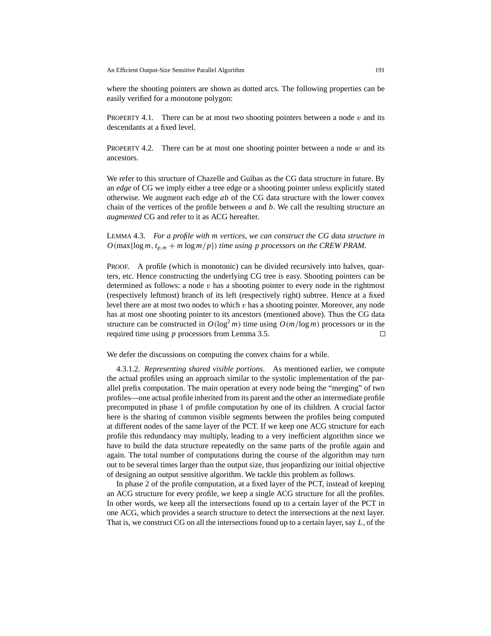where the shooting pointers are shown as dotted arcs. The following properties can be easily verified for a monotone polygon:

PROPERTY 4.1. There can be at most two shooting pointers between a node  $v$  and its descendants at a fixed level.

PROPERTY 4.2. There can be at most one shooting pointer between a node  $w$  and its ancestors.

We refer to this structure of Chazelle and Guibas as the CG data structure in future. By an *edge* of CG we imply either a tree edge or a shooting pointer unless explicitly stated otherwise. We augment each edge *ab* of the CG data structure with the lower convex chain of the vertices of the profile between *a* and *b*. We call the resulting structure an *augmented* CG and refer to it as ACG hereafter.

# LEMMA 4.3. *For a profile with m vertices*, *we can construct the CG data structure in*  $O(\max{\log{m, t_{p,m} + m \log{m/p}}})$  *time using p processors on the CREW PRAM.*

PROOF. A profile (which is monotonic) can be divided recursively into halves, quarters, etc. Hence constructing the underlying CG tree is easy. Shooting pointers can be determined as follows: a node  $\nu$  has a shooting pointer to every node in the rightmost (respectively leftmost) branch of its left (respectively right) subtree. Hence at a fixed level there are at most two nodes to which  $v$  has a shooting pointer. Moreover, any node has at most one shooting pointer to its ancestors (mentioned above). Thus the CG data structure can be constructed in  $O(\log^2 m)$  time using  $O(m/\log m)$  processors or in the required time using *p* processors from Lemma 3.5.  $\Box$ 

We defer the discussions on computing the convex chains for a while.

4.3.1.2. *Representing shared visible portions*. As mentioned earlier, we compute the actual profiles using an approach similar to the systolic implementation of the parallel prefix computation. The main operation at every node being the "merging" of two profiles—one actual profile inherited from its parent and the other an intermediate profile precomputed in phase 1 of profile computation by one of its children. A crucial factor here is the sharing of common visible segments between the profiles being computed at different nodes of the same layer of the PCT. If we keep one ACG structure for each profile this redundancy may multiply, leading to a very inefficient algorithm since we have to build the data structure repeatedly on the same parts of the profile again and again. The total number of computations during the course of the algorithm may turn out to be several times larger than the output size, thus jeopardizing our initial objective of designing an output sensitive algorithm. We tackle this problem as follows.

In phase 2 of the profile computation, at a fixed layer of the PCT, instead of keeping an ACG structure for every profile, we keep a single ACG structure for all the profiles. In other words, we keep all the intersections found up to a certain layer of the PCT in one ACG, which provides a search structure to detect the intersections at the next layer. That is, we construct CG on all the intersections found up to a certain layer, say *L*, of the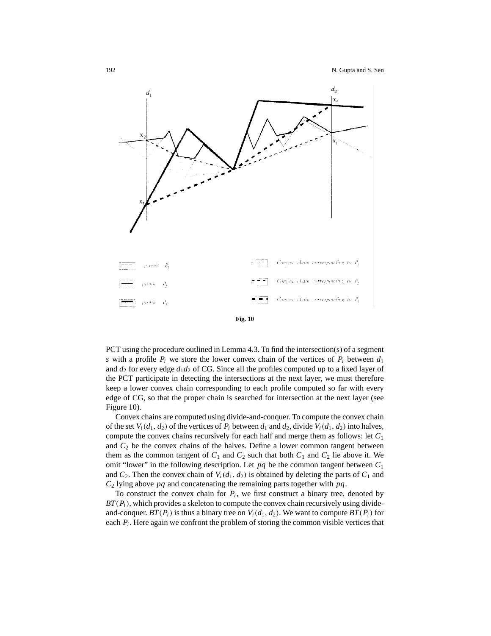

PCT using the procedure outlined in Lemma 4.3. To find the intersection(s) of a segment *s* with a profile  $P_i$  we store the lower convex chain of the vertices of  $P_i$  between  $d_1$ and  $d_2$  for every edge  $d_1d_2$  of CG. Since all the profiles computed up to a fixed layer of the PCT participate in detecting the intersections at the next layer, we must therefore keep a lower convex chain corresponding to each profile computed so far with every edge of CG, so that the proper chain is searched for intersection at the next layer (see Figure 10).

Convex chains are computed using divide-and-conquer. To compute the convex chain of the set  $V_i(d_1, d_2)$  of the vertices of  $P_i$  between  $d_1$  and  $d_2$ , divide  $V_i(d_1, d_2)$  into halves, compute the convex chains recursively for each half and merge them as follows: let *C*<sup>1</sup> and  $C_2$  be the convex chains of the halves. Define a lower common tangent between them as the common tangent of  $C_1$  and  $C_2$  such that both  $C_1$  and  $C_2$  lie above it. We omit "lower" in the following description. Let *pq* be the common tangent between *C*<sup>1</sup> and  $C_2$ . Then the convex chain of  $V_i(d_1, d_2)$  is obtained by deleting the parts of  $C_1$  and *C*<sup>2</sup> lying above *pq* and concatenating the remaining parts together with *pq*.

To construct the convex chain for  $P_i$ , we first construct a binary tree, denoted by  $BT(P_i)$ , which provides a skeleton to compute the convex chain recursively using divideand-conquer. *BT*( $P_i$ ) is thus a binary tree on  $V_i(d_1, d_2)$ . We want to compute *BT*( $P_i$ ) for each *Pi* . Here again we confront the problem of storing the common visible vertices that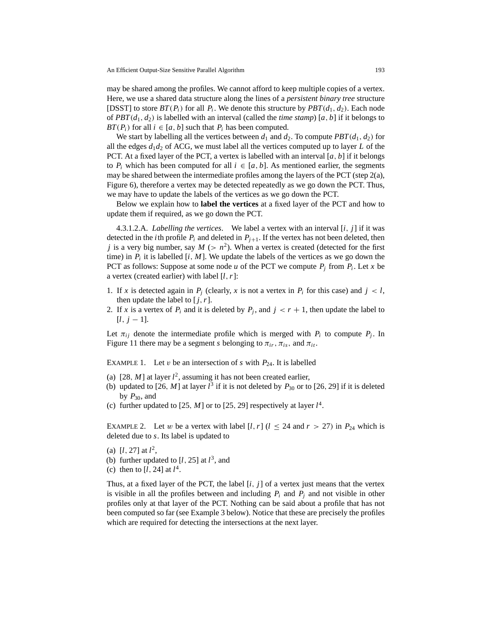may be shared among the profiles. We cannot afford to keep multiple copies of a vertex. Here, we use a shared data structure along the lines of a *persistent binary tree* structure [DSST] to store  $BT(P_i)$  for all  $P_i$ . We denote this structure by  $PBT(d_1, d_2)$ . Each node of  $PBT(d_1, d_2)$  is labelled with an interval (called the *time stamp*) [a, b] if it belongs to *BT*( $P_i$ ) for all  $i \in [a, b]$  such that  $P_i$  has been computed.

We start by labelling all the vertices between  $d_1$  and  $d_2$ . To compute  $PBT(d_1, d_2)$  for all the edges  $d_1d_2$  of ACG, we must label all the vertices computed up to layer *L* of the PCT. At a fixed layer of the PCT, a vertex is labelled with an interval  $[a, b]$  if it belongs to  $P_i$  which has been computed for all  $i \in [a, b]$ . As mentioned earlier, the segments may be shared between the intermediate profiles among the layers of the PCT (step  $2(a)$ , Figure 6), therefore a vertex may be detected repeatedly as we go down the PCT. Thus, we may have to update the labels of the vertices as we go down the PCT.

Below we explain how to **label the vertices** at a fixed layer of the PCT and how to update them if required, as we go down the PCT.

4.3.1.2.A. *Labelling the vertices*. We label a vertex with an interval [*i*, *j*] if it was detected in the *i*th profile  $P_i$  and deleted in  $P_{i+1}$ . If the vertex has not been deleted, then *j* is a very big number, say  $M$  ( $> n<sup>2</sup>$ ). When a vertex is created (detected for the first time) in  $P_i$  it is labelled  $[i, M]$ . We update the labels of the vertices as we go down the PCT as follows: Suppose at some node *u* of the PCT we compute  $P_i$  from  $P_i$ . Let *x* be a vertex (created earlier) with label [*l*,*r*]:

- 1. If *x* is detected again in  $P_j$  (clearly, *x* is not a vertex in  $P_i$  for this case) and  $j < l$ , then update the label to  $[j, r]$ .
- 2. If *x* is a vertex of  $P_i$  and it is deleted by  $P_j$ , and  $j < r + 1$ , then update the label to  $[l, j - 1].$

Let  $\pi_{ij}$  denote the intermediate profile which is merged with  $P_i$  to compute  $P_j$ . In Figure 11 there may be a segment *s* belonging to  $\pi_{ir}$ ,  $\pi_{is}$ , and  $\pi_{it}$ .

EXAMPLE 1. Let v be an intersection of *s* with  $P_{24}$ . It is labelled

- (a) [28,  $M$ ] at layer  $l^2$ , assuming it has not been created earlier,
- (b) updated to [26, M] at layer  $l^3$  if it is not deleted by  $P_{30}$  or to [26, 29] if it is deleted by  $P_{30}$ , and
- (c) further updated to [25,  $M$ ] or to [25, 29] respectively at layer  $l<sup>4</sup>$ .

EXAMPLE 2. Let w be a vertex with label [*l*, *r*] ( $l \le 24$  and  $r > 27$ ) in  $P_{24}$  which is deleted due to *s*. Its label is updated to

- (a) [ $l$ , 27] at  $l^2$ ,
- (b) further updated to  $[l, 25]$  at  $l^3$ , and
- (c) then to  $[l, 24]$  at  $l^4$ .

Thus, at a fixed layer of the PCT, the label [*i*, *j*] of a vertex just means that the vertex is visible in all the profiles between and including  $P_i$  and  $P_j$  and not visible in other profiles only at that layer of the PCT. Nothing can be said about a profile that has not been computed so far (see Example 3 below). Notice that these are precisely the profiles which are required for detecting the intersections at the next layer.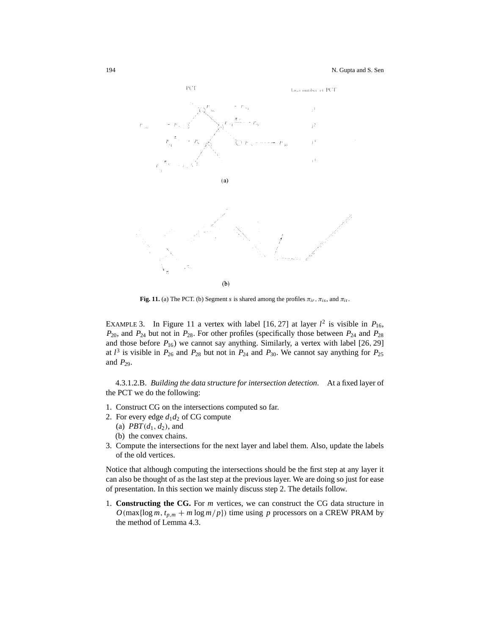

**Fig. 11.** (a) The PCT. (b) Segment *s* is shared among the profiles  $\pi_{ir}$ ,  $\pi_{is}$ , and  $\pi_{it}$ .

EXAMPLE 3. In Figure 11 a vertex with label [16, 27] at layer  $l^2$  is visible in  $P_{16}$ ,  $P_{20}$ , and  $P_{24}$  but not in  $P_{28}$ . For other profiles (specifically those between  $P_{24}$  and  $P_{28}$ and those before  $P_{16}$ ) we cannot say anything. Similarly, a vertex with label [26, 29] at  $l^3$  is visible in  $P_{26}$  and  $P_{28}$  but not in  $P_{24}$  and  $P_{30}$ . We cannot say anything for  $P_{25}$ and *P*<sub>29</sub>.

4.3.1.2.B. *Building the data structure for intersection detection*. At a fixed layer of the PCT we do the following:

- 1. Construct CG on the intersections computed so far.
- 2. For every edge  $d_1 d_2$  of CG compute
	- (a)  $PBT(d_1, d_2)$ , and
	- (b) the convex chains.
- 3. Compute the intersections for the next layer and label them. Also, update the labels of the old vertices.

Notice that although computing the intersections should be the first step at any layer it can also be thought of as the last step at the previous layer. We are doing so just for ease of presentation. In this section we mainly discuss step 2. The details follow.

1. **Constructing the CG.** For *m* vertices, we can construct the CG data structure in  $O(\max{\log{m, t_{p,m} + m \log{m/p}}})$  time using *p* processors on a CREW PRAM by the method of Lemma 4.3.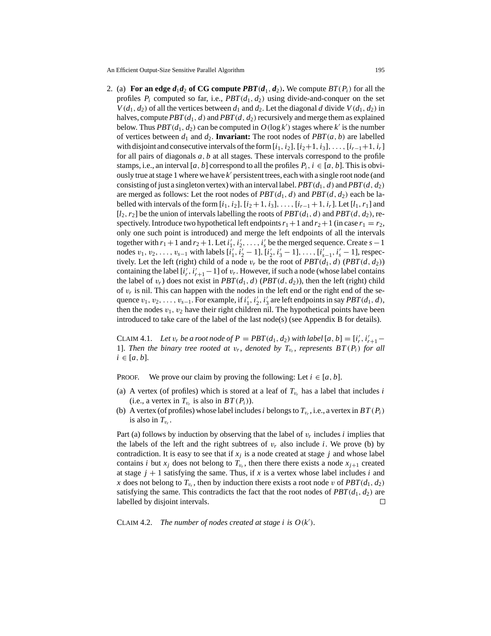2. (a) **For an edge**  $d_1d_2$  of CG compute  $PBT(d_1, d_2)$ . We compute  $BT(P_i)$  for all the profiles  $P_i$  computed so far, i.e.,  $PBT(d_1, d_2)$  using divide-and-conquer on the set  $V(d_1, d_2)$  of all the vertices between  $d_1$  and  $d_2$ . Let the diagonal *d* divide  $V(d_1, d_2)$  in halves, compute  $PBT(d_1, d)$  and  $PBT(d, d_2)$  recursively and merge them as explained below. Thus  $PBT(d_1, d_2)$  can be computed in  $O(\log k')$  stages where  $k'$  is the number of vertices between  $d_1$  and  $d_2$ . **Invariant:** The root nodes of  $PBT(a, b)$  are labelled with disjoint and consecutive intervals of the form  $[i_1, i_2]$ ,  $[i_2+1, i_3]$ , ...,  $[i_{r-1}+1, i_r]$ for all pairs of diagonals *a*, *b* at all stages. These intervals correspond to the profile stamps, i.e., an interval [ $a, b$ ] correspond to all the profiles  $P_i$ ,  $i \in [a, b]$ . This is obviously true at stage 1 where we have *k'* persistent trees, each with a single root node (and consisting of just a singleton vertex) with an interval label.  $PBT(d_1, d)$  and  $PBT(d, d_2)$ are merged as follows: Let the root nodes of  $PBT(d_1, d)$  and  $PBT(d, d_2)$  each be labelled with intervals of the form  $[i_1, i_2]$ ,  $[i_2 + 1, i_3]$ , ...,  $[i_{r-1} + 1, i_r]$ . Let  $[i_1, r_1]$  and  $[l_2, r_2]$  be the union of intervals labelling the roots of  $PBT(d_1, d)$  and  $PBT(d, d_2)$ , respectively. Introduce two hypothetical left endpoints  $r_1 + 1$  and  $r_2 + 1$  (in case  $r_1 = r_2$ , only one such point is introduced) and merge the left endpoints of all the intervals together with  $r_1 + 1$  and  $r_2 + 1$ . Let  $i'_1, i'_2, \ldots, i'_s$  be the merged sequence. Create  $s - 1$ nodes  $v_1, v_2, \ldots, v_{s-1}$  with labels  $[i'_1, i'_2 - 1]$ ,  $[i'_2, i'_3 - 1]$ ,  $\ldots$ ,  $[i'_{s-1}, i'_{s} - 1]$ , respectively. Let the left (right) child of a node  $v_r$  be the root of  $PBT(d_1, d)$  ( $PBT(d, d_2)$ ) containing the label  $[i'_r, i'_{r+1}-1]$  of  $v_r$ . However, if such a node (whose label contains the label of  $v_r$ ) does not exist in  $PBT(d_1, d)$  ( $PBT(d, d_2)$ ), then the left (right) child of  $v_r$  is nil. This can happen with the nodes in the left end or the right end of the sequence  $v_1, v_2, \ldots, v_{s-1}$ . For example, if  $i'_1, i'_2, i'_3$  are left endpoints in say  $PBT(d_1, d)$ , then the nodes  $v_1$ ,  $v_2$  have their right children nil. The hypothetical points have been introduced to take care of the label of the last node(s) (see Appendix B for details).

CLAIM 4.1. *Let*  $v_r$  *be a root node of*  $P = PBT(d_1, d_2)$  *with label*  $[a, b] = [i'_r, i'_{r+1} -$ 1]. *Then the binary tree rooted at*  $v_r$ , *denoted by*  $T_{v_r}$ , *represents*  $BT(P_i)$  *for all*  $i \in [a, b]$ .

PROOF. We prove our claim by proving the following: Let  $i \in [a, b]$ .

- (a) A vertex (of profiles) which is stored at a leaf of  $T_{v_r}$  has a label that includes *i* (i.e., a vertex in  $T_{v_r}$  is also in  $BT(P_i)$ ).
- (b) A vertex (of profiles) whose label includes *i* belongs to  $T_{v_r}$ , i.e., a vertex in  $BT(P_i)$ is also in  $T_{v_r}$ .

Part (a) follows by induction by observing that the label of v*<sup>r</sup>* includes *i* implies that the labels of the left and the right subtrees of  $v_r$  also include *i*. We prove (b) by contradiction. It is easy to see that if  $x_j$  is a node created at stage  $j$  and whose label contains *i* but  $x_j$  does not belong to  $T_{v_r}$ , then there there exists a node  $x_{j+1}$  created at stage  $j + 1$  satisfying the same. Thus, if  $x$  is a vertex whose label includes  $i$  and *x* does not belong to  $T_v$ , then by induction there exists a root node v of  $PBT(d_1, d_2)$ satisfying the same. This contradicts the fact that the root nodes of  $PBT(d_1, d_2)$  are labelled by disjoint intervals.  $\Box$ 

CLAIM 4.2. The number of nodes created at stage i is  $O(k')$ .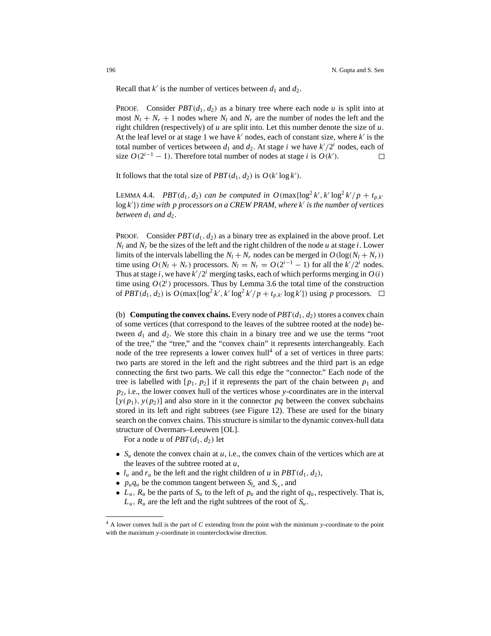Recall that  $k'$  is the number of vertices between  $d_1$  and  $d_2$ .

**PROOF.** Consider  $PBT(d_1, d_2)$  as a binary tree where each node *u* is split into at most  $N_l + N_r + 1$  nodes where  $N_l$  and  $N_r$  are the number of nodes the left and the right children (respectively) of *u* are split into. Let this number denote the size of *u*. At the leaf level or at stage 1 we have  $k'$  nodes, each of constant size, where  $k'$  is the total number of vertices between  $d_1$  and  $d_2$ . At stage *i* we have  $k'/2^i$  nodes, each of size  $O(2^{i-1} - 1)$ . Therefore total number of nodes at stage *i* is  $O(k')$ . 囗

It follows that the total size of  $PBT(d_1, d_2)$  is  $O(k' \log k')$ .

LEMMA 4.4. *PBT*( $d_1, d_2$ ) *can be computed in*  $O(\max{\log^2{k'}}, k' \log^2{k'}/p + t_{p,k'}$ log *k* }) *time with p processors on a CREW PRAM*, *where k is the number of vertices between*  $d_1$  *and*  $d_2$ *.* 

**PROOF.** Consider  $PBT(d_1, d_2)$  as a binary tree as explained in the above proof. Let  $N_l$  and  $N_r$  be the sizes of the left and the right children of the node *u* at stage *i*. Lower limits of the intervals labelling the  $N_l + N_r$  nodes can be merged in  $O(log(N_l + N_r))$ time using  $O(N_l + N_r)$  processors.  $N_l = N_r = O(2^{i-1} - 1)$  for all the  $k'/2^i$  nodes. Thus at stage *i*, we have  $k'/2^i$  merging tasks, each of which performs merging in  $O(i)$ time using  $O(2<sup>i</sup>)$  processors. Thus by Lemma 3.6 the total time of the construction of *PBT*( $d_1$ ,  $d_2$ ) is  $O(\max{\log^2 k'}, k' \log^2 k'/p + t_{p,k'} \log k')$ ) using *p* processors.

(b) **Computing the convex chains.** Every node of  $PBT(d_1, d_2)$  stores a convex chain of some vertices (that correspond to the leaves of the subtree rooted at the node) between  $d_1$  and  $d_2$ . We store this chain in a binary tree and we use the terms "root of the tree," the "tree," and the "convex chain" it represents interchangeably. Each node of the tree represents a lower convex  $hull<sup>4</sup>$  of a set of vertices in three parts: two parts are stored in the left and the right subtrees and the third part is an edge connecting the first two parts. We call this edge the "connector." Each node of the tree is labelled with  $[p_1, p_2]$  if it represents the part of the chain between  $p_1$  and *p*2, i.e., the lower convex hull of the vertices whose *y*-coordinates are in the interval  $[y(p_1), y(p_2)]$  and also store in it the connector *pq* between the convex subchains stored in its left and right subtrees (see Figure 12). These are used for the binary search on the convex chains. This structure is similar to the dynamic convex-hull data structure of Overmars–Leeuwen [OL].

For a node *u* of  $PBT(d_1, d_2)$  let

- $S_u$  denote the convex chain at *u*, i.e., the convex chain of the vertices which are at the leaves of the subtree rooted at *u*,
- $l_u$  and  $r_u$  be the left and the right children of *u* in  $PBT(d_1, d_2)$ ,
- $p_u q_u$  be the common tangent between  $S_{l_u}$  and  $S_{r_u}$ , and
- $L_u$ ,  $R_u$  be the parts of  $S_u$  to the left of  $p_u$  and the right of  $q_u$ , respectively. That is,  $L_u$ ,  $R_u$  are the left and the right subtrees of the root of  $S_u$ .

<sup>4</sup> A lower convex hull is the part of *C* extending from the point with the minimum *y*-coordinate to the point with the maximum *y*-coordinate in counterclockwise direction.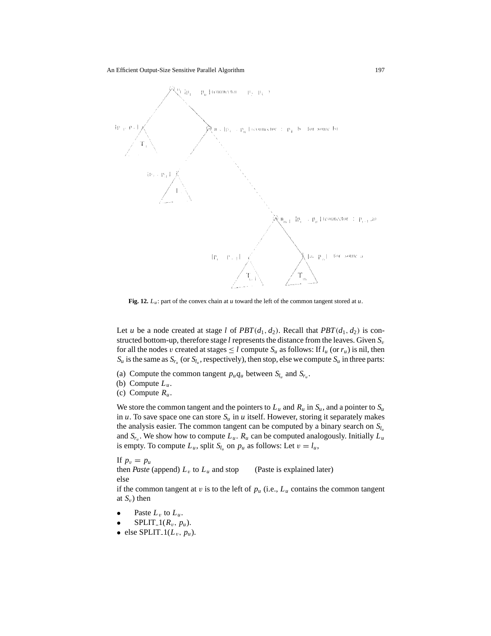

**Fig. 12.**  $L_u$ : part of the convex chain at *u* toward the left of the common tangent stored at *u*.

Let *u* be a node created at stage *l* of  $PBT(d_1, d_2)$ . Recall that  $PBT(d_1, d_2)$  is constructed bottom-up, therefore stage  $l$  represents the distance from the leaves. Given  $S_v$ for all the nodes v created at stages  $\leq l$  compute  $S_u$  as follows: If  $l_u$  (or  $r_u$ ) is nil, then  $S_u$  is the same as  $S_{r_u}$  (or  $S_{l_u}$ , respectively), then stop, else we compute  $S_u$  in three parts:

- (a) Compute the common tangent  $p_u q_u$  between  $S_{l_u}$  and  $S_{r_u}$ .
- (b) Compute *Lu*.
- (c) Compute *Ru*.

We store the common tangent and the pointers to  $L_u$  and  $R_u$  in  $S_u$ , and a pointer to  $S_u$ in  $u$ . To save space one can store  $S_u$  in  $u$  itself. However, storing it separately makes the analysis easier. The common tangent can be computed by a binary search on  $S_{l_u}$ and  $S_{r_u}$ . We show how to compute  $L_u$ .  $R_u$  can be computed analogously. Initially  $L_u$ is empty. To compute  $L_u$ , split  $S_{l_u}$  on  $p_u$  as follows: Let  $v = l_u$ ,

If  $p_v = p_u$ then *Paste* (append)  $L_v$  to  $L_u$  and stop (Paste is explained later) else

if the common tangent at v is to the left of  $p_u$  (i.e.,  $L_u$  contains the common tangent at  $S_v$ ) then

- Paste  $L_v$  to  $L_u$ .
- $SPLIT_1(R_v, p_u)$ .
- else SPLIT<sub>-1</sub> $(L_v, p_u)$ .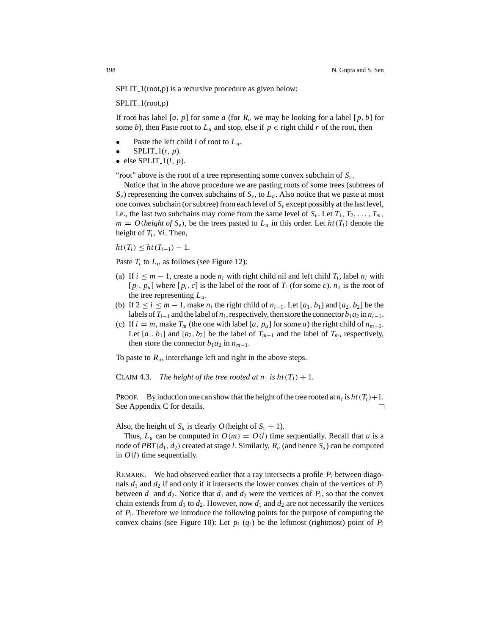SPLIT 1(root,p) is a recursive procedure as given below:

SPLIT 1(root,p)

If root has label [a, p] for some a (for  $R_u$  we may be looking for a label [p, b] for some *b*), then Paste root to  $L_u$  and stop, else if  $p \in$  right child *r* of the root, then

- Paste the left child  $l$  of root to  $L_u$ .
- SPLIT  $1(r, p)$ .
- else SPLIT<sub>-1</sub> $(l, p)$ .

"root" above is the root of a tree representing some convex subchain of  $S_v$ .

Notice that in the above procedure we are pasting roots of some trees (subtrees of  $S_v$ ) representing the convex subchains of  $S_v$ , to  $L_u$ . Also notice that we paste at most one convex subchain (or subtree) from each level of  $S_v$  except possibly at the last level, i.e., the last two subchains may come from the same level of  $S_v$ . Let  $T_1, T_2, \ldots, T_m$ ,  $m = O(\text{height of } S_v)$ , be the trees pasted to  $L_u$  in this order. Let  $ht(T_i)$  denote the height of  $T_i$ ,  $\forall i$ . Then,

 $ht(T_i) \leq ht(T_{i-1}) - 1.$ 

Paste  $T_i$  to  $L_u$  as follows (see Figure 12):

- (a) If  $i \leq m-1$ , create a node  $n_i$  with right child nil and left child  $T_i$ , label  $n_i$  with  $[p_i, p_u]$  where  $[p_i, c]$  is the label of the root of  $T_i$  (for some *c*).  $n_1$  is the root of the tree representing  $L_u$ .
- (b) If  $2 \le i \le m 1$ , make  $n_i$  the right child of  $n_{i-1}$ . Let  $[a_1, b_1]$  and  $[a_2, b_2]$  be the labels of  $T_{i-1}$  and the label of  $n_i$ , respectively, then store the connector  $b_1a_2$  in  $n_{i-1}$ .
- (c) If  $i = m$ , make  $T_m$  (the one with label [*a*,  $p_u$ ] for some *a*) the right child of  $n_{m-1}$ . Let  $[a_1, b_1]$  and  $[a_2, b_2]$  be the label of  $T_{m-1}$  and the label of  $T_m$ , respectively, then store the connector  $b_1a_2$  in  $n_{m-1}$ .

To paste to  $R_u$ , interchange left and right in the above steps.

CLAIM 4.3. *The height of the tree rooted at n<sub>1</sub> is ht*( $T_1$ ) + 1.

PROOF. By induction one can show that the height of the tree rooted at  $n_i$  is  $ht(T_i)+1$ . See Appendix C for details.  $\Box$ 

Also, the height of  $S_u$  is clearly *O* (height of  $S_v + 1$ ).

Thus,  $L_u$  can be computed in  $O(m) = O(l)$  time sequentially. Recall that *u* is a node of  $PBT(d_1, d_2)$  created at stage *l*. Similarly,  $R_u$  (and hence  $S_u$ ) can be computed in  $O(l)$  time sequentially.

REMARK. We had observed earlier that a ray intersects a profile *Pi* between diagonals  $d_1$  and  $d_2$  if and only if it intersects the lower convex chain of the vertices of  $P_i$ between  $d_1$  and  $d_2$ . Notice that  $d_1$  and  $d_2$  were the vertices of  $P_i$ , so that the convex chain extends from  $d_1$  to  $d_2$ . However, now  $d_1$  and  $d_2$  are not necessarily the vertices of *Pi* . Therefore we introduce the following points for the purpose of computing the convex chains (see Figure 10): Let  $p_i$  ( $q_i$ ) be the leftmost (rightmost) point of  $P_i$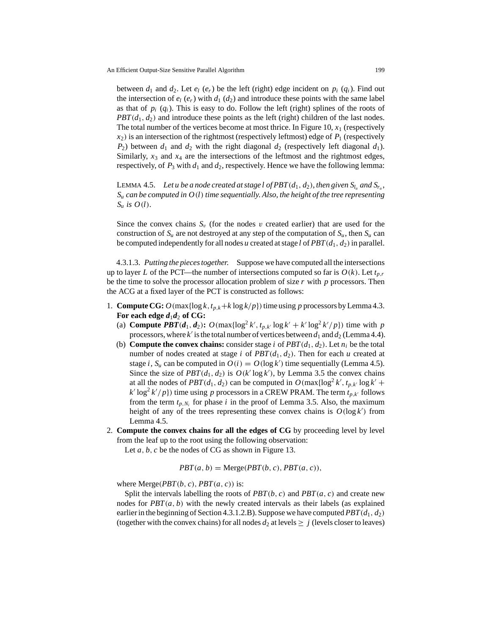between  $d_1$  and  $d_2$ . Let  $e_l$  ( $e_r$ ) be the left (right) edge incident on  $p_i$  ( $q_i$ ). Find out the intersection of  $e_l$  ( $e_r$ ) with  $d_1$  ( $d_2$ ) and introduce these points with the same label as that of  $p_i$  ( $q_i$ ). This is easy to do. Follow the left (right) splines of the roots of  $PBT(d_1, d_2)$  and introduce these points as the left (right) children of the last nodes. The total number of the vertices become at most thrice. In Figure 10,  $x_1$  (respectively  $x_2$ ) is an intersection of the rightmost (respectively leftmost) edge of  $P_1$  (respectively  $P_2$ ) between  $d_1$  and  $d_2$  with the right diagonal  $d_2$  (respectively left diagonal  $d_1$ ). Similarly,  $x_3$  and  $x_4$  are the intersections of the leftmost and the rightmost edges, respectively, of  $P_3$  with  $d_1$  and  $d_2$ , respectively. Hence we have the following lemma:

LEMMA 4.5. Let u be a node created at stage l of  $PBT(d_1, d_2)$ , then given  $S_{l_u}$  and  $S_{r_u}$ , *Su can be computed in O*(*l*)*time sequentially*. *Also*, *the height of the tree representing Su is O*(*l*).

Since the convex chains  $S_v$  (for the nodes v created earlier) that are used for the construction of  $S_u$  are not destroyed at any step of the computation of  $S_u$ , then  $S_u$  can be computed independently for all nodes *u* created at stage *l* of  $PBT(d_1, d_2)$  in parallel.

4.3.1.3. *Putting the pieces together*. Suppose we have computed all the intersections up to layer *L* of the PCT—the number of intersections computed so far is  $O(k)$ . Let  $t_{p,r}$ be the time to solve the processor allocation problem of size *r* with *p* processors. Then the ACG at a fixed layer of the PCT is constructed as follows:

- 1. **Compute CG:**  $O(\max{\log{k, t_{p,k}} + k \log{k/p}})$  time using *p* processors by Lemma 4.3. For each edge  $d_1 d_2$  of CG:
	- (a) **Compute** *PBT*( $d_1$ ,  $d_2$ ):  $O(\max{\log^2 k', t_{p,k'} \log k' + k' \log^2 k' / p})$  time with *p* processors, where  $k'$  is the total number of vertices between  $d_1$  and  $d_2$  (Lemma 4.4).
	- (b) **Compute the convex chains:** consider stage *i* of  $PBT(d_1, d_2)$ . Let  $n_i$  be the total number of nodes created at stage *i* of  $PBT(d_1, d_2)$ . Then for each *u* created at stage *i*,  $S_u$  can be computed in  $O(i) = O(\log k')$  time sequentially (Lemma 4.5). Since the size of  $PBT(d_1, d_2)$  is  $O(k' \log k')$ , by Lemma 3.5 the convex chains at all the nodes of  $PBT(d_1, d_2)$  can be computed in  $O(\max{\log^2 k', t_{p,k'}} \log k' +$  $k' \log^2 k'/p$ }) time using *p* processors in a CREW PRAM. The term  $t_{p,k'}$  follows from the term  $t_{p,N_i}$  for phase *i* in the proof of Lemma 3.5. Also, the maximum height of any of the trees representing these convex chains is  $O(\log k')$  from Lemma 4.5.
- 2. **Compute the convex chains for all the edges of CG** by proceeding level by level from the leaf up to the root using the following observation:

Let *a*, *b*, *c* be the nodes of CG as shown in Figure 13.

$$
PBT(a, b) = \text{Merge}(PBT(b, c), PBT(a, c)),
$$

where  $Merge(PBT(b, c), PBT(a, c))$  is:

Split the intervals labelling the roots of  $PBT(b, c)$  and  $PBT(a, c)$  and create new nodes for  $PBT(a, b)$  with the newly created intervals as their labels (as explained earlier in the beginning of Section 4.3.1.2.B). Suppose we have computed  $PBT(d_1, d_2)$ (together with the convex chains) for all nodes  $d_2$  at levels  $\geq j$  (levels closer to leaves)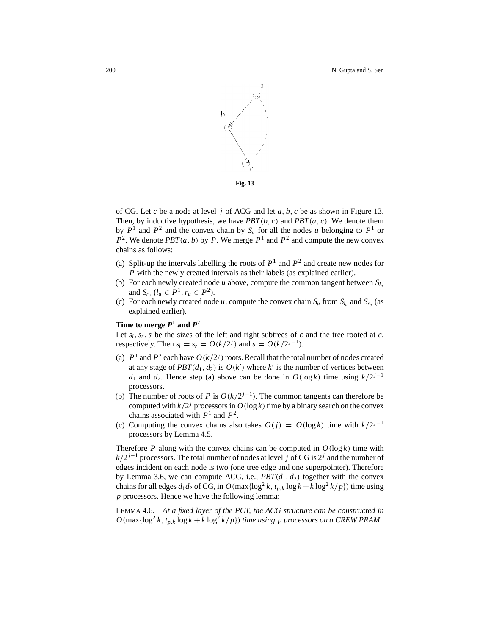

of CG. Let *c* be a node at level *j* of ACG and let *a*, *b*, *c* be as shown in Figure 13. Then, by inductive hypothesis, we have  $PBT(b, c)$  and  $PBT(a, c)$ . We denote them by  $P<sup>1</sup>$  and  $P<sup>2</sup>$  and the convex chain by  $S_u$  for all the nodes *u* belonging to  $P<sup>1</sup>$  or  $P^2$ . We denote *PBT*(*a*, *b*) by *P*. We merge  $P^1$  and  $P^2$  and compute the new convex chains as follows:

- (a) Split-up the intervals labelling the roots of  $P<sup>1</sup>$  and  $P<sup>2</sup>$  and create new nodes for *P* with the newly created intervals as their labels (as explained earlier).
- (b) For each newly created node  $u$  above, compute the common tangent between  $S_{l_u}$ and  $S_{r_u}$  ( $l_u \in P^1, r_u \in P^2$ ).
- (c) For each newly created node *u*, compute the convex chain  $S_u$  from  $S_u$  and  $S_v$  (as explained earlier).

# **Time to merge** *P*<sup>1</sup> **and** *P*<sup>2</sup>

Let  $s_l$ ,  $s_r$ , *s* be the sizes of the left and right subtrees of *c* and the tree rooted at *c*, respectively. Then  $s_l = s_r = O(k/2^j)$  and  $s = O(k/2^{j-1})$ .

- (a)  $P^1$  and  $P^2$  each have  $O(k/2^j)$  roots. Recall that the total number of nodes created at any stage of  $PBT(d_1, d_2)$  is  $O(k')$  where  $k'$  is the number of vertices between *d*<sub>1</sub> and *d*<sub>2</sub>. Hence step (a) above can be done in  $O(\log k)$  time using  $k/2^{j-1}$ processors.
- (b) The number of roots of *P* is  $O(k/2^{j-1})$ . The common tangents can therefore be computed with  $k/2^j$  processors in  $O(\log k)$  time by a binary search on the convex chains associated with  $P<sup>1</sup>$  and  $P<sup>2</sup>$ .
- (c) Computing the convex chains also takes  $O(j) = O(\log k)$  time with  $k/2^{j-1}$ processors by Lemma 4.5.

Therefore *P* along with the convex chains can be computed in  $O(\log k)$  time with  $k/2^{j-1}$  processors. The total number of nodes at level *j* of CG is  $2^j$  and the number of edges incident on each node is two (one tree edge and one superpointer). Therefore by Lemma 3.6, we can compute ACG, i.e.,  $PBT(d_1, d_2)$  together with the convex chains for all edges  $d_1d_2$  of CG, in  $O(\max{\log^2 k, t_{p,k} \log k + k \log^2 k / p})$  time using *p* processors. Hence we have the following lemma:

LEMMA 4.6. *At a fixed layer of the PCT*, *the ACG structure can be constructed in*  $O(\max{\log^2 k}, t_{p,k} \log k + k \log^2 k/p)$  *time using p processors on a CREW PRAM*.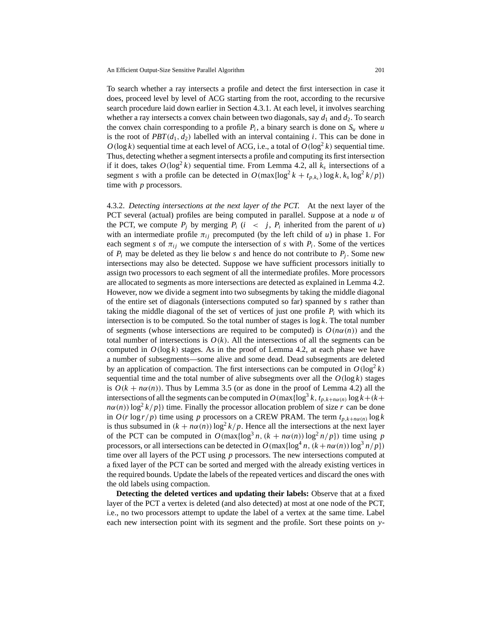To search whether a ray intersects a profile and detect the first intersection in case it does, proceed level by level of ACG starting from the root, according to the recursive search procedure laid down earlier in Section 4.3.1. At each level, it involves searching whether a ray intersects a convex chain between two diagonals, say  $d_1$  and  $d_2$ . To search the convex chain corresponding to a profile  $P_i$ , a binary search is done on  $S_u$  where  $u$ is the root of  $PBT(d_1, d_2)$  labelled with an interval containing *i*. This can be done in  $O(\log k)$  sequential time at each level of ACG, i.e., a total of  $O(\log^2 k)$  sequential time. Thus, detecting whether a segment intersects a profile and computing its first intersection if it does, takes  $O(\log^2 k)$  sequential time. From Lemma 4.2, all  $k_s$  intersections of a segment *s* with a profile can be detected in  $O(\max{\log^2 k + t_{p,k_s}})\log k, k_s \log^2 k/p)$ time with *p* processors.

4.3.2. *Detecting intersections at the next layer of the PCT*. At the next layer of the PCT several (actual) profiles are being computed in parallel. Suppose at a node *u* of the PCT, we compute  $P_j$  by merging  $P_i$  ( $i \le j$ ,  $P_i$  inherited from the parent of *u*) with an intermediate profile  $\pi_{ij}$  precomputed (by the left child of *u*) in phase 1. For each segment *s* of  $\pi_{ij}$  we compute the intersection of *s* with  $P_i$ . Some of the vertices of  $P_i$  may be deleted as they lie below s and hence do not contribute to  $P_j$ . Some new intersections may also be detected. Suppose we have sufficient processors initially to assign two processors to each segment of all the intermediate profiles. More processors are allocated to segments as more intersections are detected as explained in Lemma 4.2. However, now we divide a segment into two subsegments by taking the middle diagonal of the entire set of diagonals (intersections computed so far) spanned by *s* rather than taking the middle diagonal of the set of vertices of just one profile  $P_i$  with which its intersection is to be computed. So the total number of stages is log *k*. The total number of segments (whose intersections are required to be computed) is  $O(n\alpha(n))$  and the total number of intersections is  $O(k)$ . All the intersections of all the segments can be computed in  $O(\log k)$  stages. As in the proof of Lemma 4.2, at each phase we have a number of subsegments—some alive and some dead. Dead subsegments are deleted by an application of compaction. The first intersections can be computed in  $O(\log^2 k)$ sequential time and the total number of alive subsegments over all the  $O(\log k)$  stages is  $O(k + n\alpha(n))$ . Thus by Lemma 3.5 (or as done in the proof of Lemma 4.2) all the intersections of all the segments can be computed in  $O(\max{\log^3 k}, t_{p,k+n\alpha(n)}\log k + (k+1)\log k)$  $n\alpha(n)$  log<sup>2</sup>  $k/p$ }) time. Finally the processor allocation problem of size *r* can be done in  $O(r \log r/p)$  time using *p* processors on a CREW PRAM. The term  $t_{p,k+n\alpha(n)} \log k$ is thus subsumed in  $(k + n\alpha(n))\log^2 k/p$ . Hence all the intersections at the next layer of the PCT can be computed in  $O(\max{\log^3 n}, (k + n\alpha(n))\log^2 n/p)$  time using *p* processors, or all intersections can be detected in  $O(\max{\log^4 n}, (k + n\alpha(n))\log^3 n/p)$ time over all layers of the PCT using *p* processors. The new intersections computed at a fixed layer of the PCT can be sorted and merged with the already existing vertices in the required bounds. Update the labels of the repeated vertices and discard the ones with the old labels using compaction.

**Detecting the deleted vertices and updating their labels:** Observe that at a fixed layer of the PCT a vertex is deleted (and also detected) at most at one node of the PCT, i.e., no two processors attempt to update the label of a vertex at the same time. Label each new intersection point with its segment and the profile. Sort these points on *y*-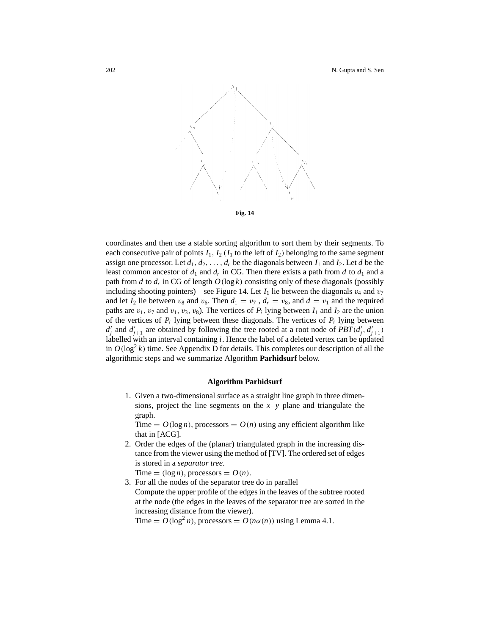202 202 N. Gupta and S. Sen



coordinates and then use a stable sorting algorithm to sort them by their segments. To each consecutive pair of points  $I_1$ ,  $I_2$  ( $I_1$  to the left of  $I_2$ ) belonging to the same segment assign one processor. Let  $d_1, d_2, \ldots, d_r$  be the diagonals between  $I_1$  and  $I_2$ . Let *d* be the least common ancestor of  $d_1$  and  $d_r$  in CG. Then there exists a path from  $d$  to  $d_1$  and a path from *d* to  $d_r$  in CG of length  $O(\log k)$  consisting only of these diagonals (possibly including shooting pointers)—see Figure 14. Let  $I_1$  lie between the diagonals  $v_4$  and  $v_7$ and let  $I_2$  lie between  $v_8$  and  $v_6$ . Then  $d_1 = v_7$ ,  $d_r = v_8$ , and  $d = v_1$  and the required paths are  $v_1$ ,  $v_7$  and  $v_1$ ,  $v_3$ ,  $v_8$ ). The vertices of  $P_i$  lying between  $I_1$  and  $I_2$  are the union of the vertices of  $P_i$  lying between these diagonals. The vertices of  $P_i$  lying between  $d'_j$  and  $d'_{j+1}$  are obtained by following the tree rooted at a root node of  $PBT(d'_j, d'_{j+1})$ labelled with an interval containing *i*. Hence the label of a deleted vertex can be updated in  $O(\log^2 k)$  time. See Appendix D for details. This completes our description of all the algorithmic steps and we summarize Algorithm **Parhidsurf** below.

#### **Algorithm Parhidsurf**

1. Given a two-dimensional surface as a straight line graph in three dimensions, project the line segments on the *x*–*y* plane and triangulate the graph.

Time  $= O(\log n)$ , processors  $= O(n)$  using any efficient algorithm like that in [ACG].

2. Order the edges of the (planar) triangulated graph in the increasing distance from the viewer using the method of [TV]. The ordered set of edges is stored in a *separator tree*.

Time =  $(\log n)$ , processors =  $O(n)$ .

3. For all the nodes of the separator tree do in parallel

Compute the upper profile of the edges in the leaves of the subtree rooted at the node (the edges in the leaves of the separator tree are sorted in the increasing distance from the viewer).

Time =  $O(\log^2 n)$ , processors =  $O(n\alpha(n))$  using Lemma 4.1.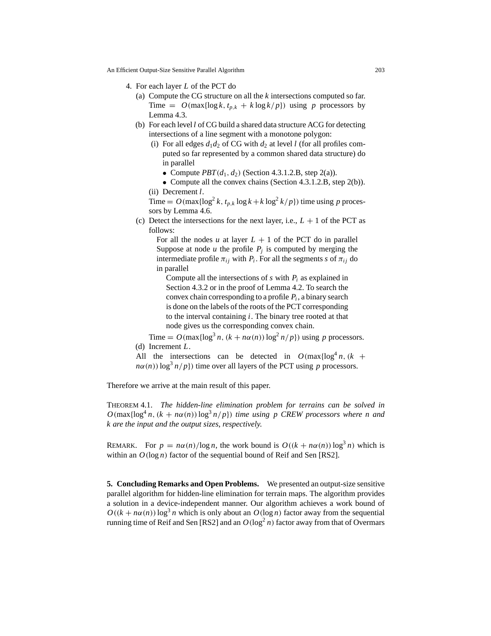- 4. For each layer *L* of the PCT do
	- (a) Compute the CG structure on all the *k* intersections computed so far. Time =  $O(max{\log k, t_{p,k} + k \log k/p})$  using *p* processors by Lemma 4.3.
	- (b) For each level *l* of CG build a shared data structure ACG for detecting intersections of a line segment with a monotone polygon:
		- (i) For all edges  $d_1d_2$  of CG with  $d_2$  at level *l* (for all profiles computed so far represented by a common shared data structure) do in parallel
			- Compute  $PBT(d_1, d_2)$  (Section 4.3.1.2.B, step 2(a)).
		- Compute all the convex chains (Section 4.3.1.2.B, step 2(b)). (ii) Decrement *l*.

Time =  $O(\max{\log^2 k, t_{p,k} \log k + k \log^2 k / p})$  time using *p* processors by Lemma 4.6.

(c) Detect the intersections for the next layer, i.e.,  $L + 1$  of the PCT as follows:

For all the nodes *u* at layer  $L + 1$  of the PCT do in parallel Suppose at node  $u$  the profile  $P_i$  is computed by merging the intermediate profile  $\pi_{ij}$  with  $P_i$ . For all the segments *s* of  $\pi_{ij}$  do in parallel

Compute all the intersections of  $s$  with  $P_i$  as explained in Section 4.3.2 or in the proof of Lemma 4.2. To search the convex chain corresponding to a profile *Pi* , a binary search is done on the labels of the roots of the PCT corresponding to the interval containing *i*. The binary tree rooted at that node gives us the corresponding convex chain.

Time =  $O(\max{\log^3 n}, (k + n\alpha(n))\log^2 n/p)$  using *p* processors. (d) Increment *L*.

All the intersections can be detected in  $O(\max{\log^4 n}, (k +$  $n\alpha(n)$ ) log<sup>3</sup>  $n/p$ }) time over all layers of the PCT using *p* processors.

Therefore we arrive at the main result of this paper.

THEOREM 4.1. *The hidden-line elimination problem for terrains can be solved in*  $O(\max{\log^4 n}, (k + n\alpha(n))\log^3 n/p)$  *time using p CREW processors where n and k are the input and the output sizes*, *respectively*.

REMARK. For  $p = n\alpha(n)/\log n$ , the work bound is  $O((k + n\alpha(n))\log^3 n)$  which is within an  $O(\log n)$  factor of the sequential bound of Reif and Sen [RS2].

**5. Concluding Remarks and Open Problems.** We presented an output-size sensitive parallel algorithm for hidden-line elimination for terrain maps. The algorithm provides a solution in a device-independent manner. Our algorithm achieves a work bound of  $O((k + n\alpha(n))\log^3 n$  which is only about an  $O(\log n)$  factor away from the sequential running time of Reif and Sen [RS2] and an  $O(\log^2 n)$  factor away from that of Overmars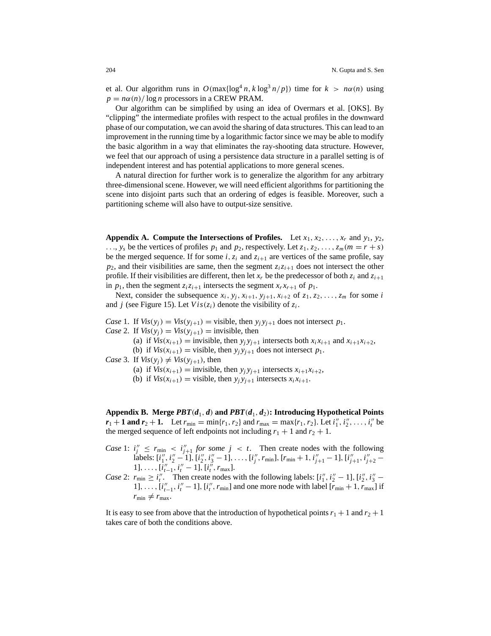et al. Our algorithm runs in  $O(\max{\log^4 n, k \log^3 n/p})$  time for  $k > n\alpha(n)$  using  $p = n\alpha(n)/\log n$  processors in a CREW PRAM.

Our algorithm can be simplified by using an idea of Overmars et al. [OKS]. By "clipping" the intermediate profiles with respect to the actual profiles in the downward phase of our computation, we can avoid the sharing of data structures. This can lead to an improvement in the running time by a logarithmic factor since we may be able to modify the basic algorithm in a way that eliminates the ray-shooting data structure. However, we feel that our approach of using a persistence data structure in a parallel setting is of independent interest and has potential applications to more general scenes.

A natural direction for further work is to generalize the algorithm for any arbitrary three-dimensional scene. However, we will need efficient algorithms for partitioning the scene into disjoint parts such that an ordering of edges is feasible. Moreover, such a partitioning scheme will also have to output-size sensitive.

**Appendix A. Compute the Intersections of Profiles.** Let  $x_1, x_2, \ldots, x_r$  and  $y_1, y_2$ , ...,  $y_s$  be the vertices of profiles  $p_1$  and  $p_2$ , respectively. Let  $z_1, z_2, \ldots, z_m$  ( $m = r + s$ ) be the merged sequence. If for some  $i$ ,  $z_i$  and  $z_{i+1}$  are vertices of the same profile, say  $p_2$ , and their visibilities are same, then the segment  $z_iz_{i+1}$  does not intersect the other profile. If their visibilities are different, then let  $x_r$  be the predecessor of both  $z_i$  and  $z_{i+1}$ in  $p_1$ , then the segment  $z_i z_{i+1}$  intersects the segment  $x_r x_{r+1}$  of  $p_1$ .

Next, consider the subsequence  $x_i$ ,  $y_j$ ,  $x_{i+1}$ ,  $y_{j+1}$ ,  $x_{i+2}$  of  $z_1$ ,  $z_2$ , ...,  $z_m$  for some *i* and *j* (see Figure 15). Let  $Vis(z_i)$  denote the visibility of  $z_i$ .

*Case* 1. If  $Vis(y_j) = Vis(y_{j+1})$  = visible, then  $y_j y_{j+1}$  does not intersect  $p_1$ .

*Case* 2. If  $Vis(y_i) = Vis(y_{i+1}) =$  invisible, then

(a) if  $Vis(x_{i+1}) =$  invisible, then  $y_j y_{j+1}$  intersects both  $x_i x_{i+1}$  and  $x_{i+1} x_{i+2}$ ,

(b) if  $Vis(x_{i+1})$  = visible, then  $y_j y_{j+1}$  does not intersect  $p_1$ .

*Case* 3. If  $Vis(y_i) \neq Vis(y_{i+1})$ , then

(a) if  $Vis(x_{i+1})$  = invisible, then  $y_j y_{j+1}$  intersects  $x_{i+1}x_{i+2}$ ,

(b) if  $Vis(x_{i+1})$  = visible, then  $y_j y_{j+1}$  intersects  $x_i x_{i+1}$ .

Appendix B. Merge  $PBT(d_1, d)$  and  $PBT(d_1, d_2)$ : Introducing Hypothetical Points  $r_1 + 1$  and  $r_2 + 1$ . Let  $r_{\min} = \min\{r_1, r_2\}$  and  $r_{\max} = \max\{r_1, r_2\}$ . Let  $i''_1, i''_2, \ldots, i''_t$  be the merged sequence of left endpoints not including  $r_1 + 1$  and  $r_2 + 1$ .

*Case* 1:  $i_j'' \le r_{\min} < i_{j+1}''$  *for some j < t.* Then create nodes with the following labels:  $[i''_1, i''_2 - 1]$ ,  $[i''_2, i''_3 - 1]$ , ...,  $[i''_j, r_{\min}]$ ,  $[r_{\min} + 1, i''_{j+1} - 1]$ ,  $[i''_{j+1}, i''_{j+2} -$ 1], ...,  $[i''_{t-1}, i''_t - 1]$ ,  $[i''_t, r_{\text{max}}]$ .

*Case* 2:  $r_{\text{min}} \ge i''$ . Then create nodes with the following labels:  $[i''_1, i''_2 - 1]$ ,  $[i''_2, i''_3 -$ 1],...,  $[i''_{t-1}, i''_{t} - 1]$ ,  $[i''_{t}, r_{min}]$  and one more node with label  $[r_{min} + 1, r_{max}]$  if  $r_{\min} \neq r_{\max}$ .

It is easy to see from above that the introduction of hypothetical points  $r_1 + 1$  and  $r_2 + 1$ takes care of both the conditions above.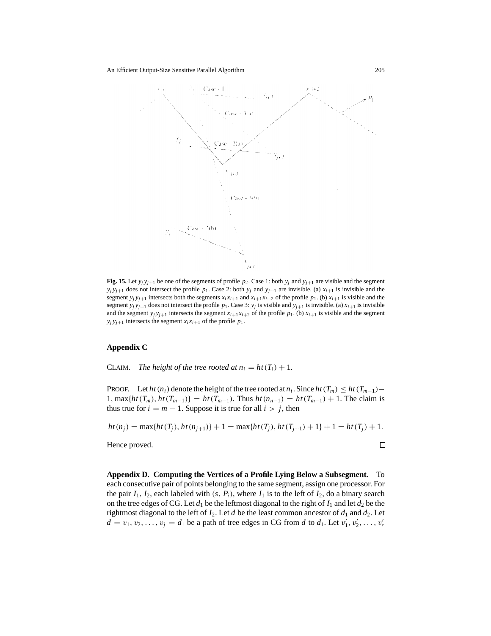

**Fig. 15.** Let  $y_j y_{j+1}$  be one of the segments of profile  $p_2$ . Case 1: both  $y_j$  and  $y_{j+1}$  are visible and the segment  $y_j y_{j+1}$  does not intersect the profile  $p_1$ . Case 2: both  $y_j$  and  $y_{j+1}$  are invisible. (a)  $x_{i+1}$  is invisible and the segment  $y_j y_{j+1}$  intersects both the segments  $x_i x_{i+1}$  and  $x_{i+1} x_{i+2}$  of the profile  $p_1$ . (b)  $x_{i+1}$  is visible and the segment  $y_j y_{j+1}$  does not intersect the profile  $p_1$ . Case 3:  $y_j$  is visible and  $y_{j+1}$  is invisible. (a)  $x_{i+1}$  is invisible and the segment  $y_j y_{j+1}$  intersects the segment  $x_{i+1}x_{i+2}$  of the profile  $p_1$ . (b)  $x_{i+1}$  is visible and the segment  $y_j y_{j+1}$  intersects the segment  $x_i x_{i+1}$  of the profile  $p_1$ .

## **Appendix C**

CLAIM. *The height of the tree rooted at*  $n_i = ht(T_i) + 1$ .

PROOF. Let  $ht(n_i)$  denote the height of the tree rooted at  $n_i$ . Since  $ht(T_m) \leq ht(T_{m-1})-$ 1, max{ $ht(T_m)$ ,  $ht(T_{m-1})$ } =  $ht(T_{m-1})$ . Thus  $ht(n_{n-1}) = ht(T_{m-1}) + 1$ . The claim is thus true for  $i = m - 1$ . Suppose it is true for all  $i > j$ , then

$$
ht(n_j) = \max\{ht(T_j), ht(n_{j+1})\} + 1 = \max\{ht(T_j), ht(T_{j+1}) + 1\} + 1 = ht(T_j) + 1.
$$

Hence proved.

**Appendix D. Computing the Vertices of a Profile Lying Below a Subsegment.** To each consecutive pair of points belonging to the same segment, assign one processor. For the pair  $I_1$ ,  $I_2$ , each labeled with  $(s, P_i)$ , where  $I_1$  is to the left of  $I_2$ , do a binary search on the tree edges of CG. Let  $d_1$  be the leftmost diagonal to the right of  $I_1$  and let  $d_2$  be the rightmost diagonal to the left of  $I_2$ . Let *d* be the least common ancestor of  $d_1$  and  $d_2$ . Let  $d = v_1, v_2, \dots, v_j = d_1$  be a path of tree edges in CG from *d* to  $d_1$ . Let  $v'_1, v'_2, \dots, v'_r$ 

 $\Box$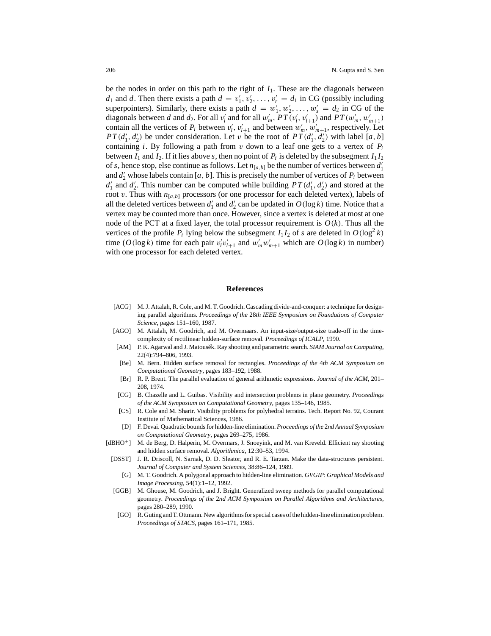be the nodes in order on this path to the right of  $I_1$ . These are the diagonals between *d*<sub>1</sub> and *d*. Then there exists a path  $d = v'_1, v'_2, \ldots, v'_r = d_1$  in CG (possibly including superpointers). Similarly, there exists a path  $d = w'_1, w'_2, \ldots, w'_s = d_2$  in CG of the diagonals between *d* and *d*<sub>2</sub>. For all  $v'_l$  and for all  $w'_m$ ,  $PT(v'_l, v'_{l+1})$  and  $PT(w'_m, w'_{m+1})$ contain all the vertices of  $P_i$  between  $v'_i$ ,  $v'_{i+1}$  and between  $w'_m$ ,  $w'_{m+1}$ , respectively. Let *PT* (*d*<sup>'</sup><sub>1</sub>, *d*<sup>'</sup><sub>2</sub>) be under consideration. Let *v* be the root of *PT* (*d*<sup>'</sup><sub>1</sub>, *d*<sup>'</sup><sub>2</sub>) with label [*a*, *b*] containing *i*. By following a path from v down to a leaf one gets to a vertex of *Pi* between  $I_1$  and  $I_2$ . If it lies above *s*, then no point of  $P_i$  is deleted by the subsegment  $I_1I_2$ of *s*, hence stop, else continue as follows. Let  $n_{[a,b]}$  be the number of vertices between  $d'_1$ and  $d'_2$  whose labels contain [ $a$ ,  $b$ ]. This is precisely the number of vertices of  $P_i$  between  $d'_1$  and  $d'_2$ . This number can be computed while building  $PT(d'_1, d'_2)$  and stored at the root v. Thus with  $n_{[a,b]}$  processors (or one processor for each deleted vertex), labels of all the deleted vertices between  $d'_1$  and  $d'_2$  can be updated in  $O(\log k)$  time. Notice that a vertex may be counted more than once. However, since a vertex is deleted at most at one node of the PCT at a fixed layer, the total processor requirement is  $O(k)$ . Thus all the vertices of the profile  $P_i$  lying below the subsegment  $I_1 I_2$  of *s* are deleted in  $O(\log^2 k)$ time ( $O(\log k)$  time for each pair  $v'_l v'_{l+1}$  and  $w'_m w'_{m+1}$  which are  $O(\log k)$  in number) with one processor for each deleted vertex.

#### **References**

- [ACG] M. J. Attalah, R. Cole, and M. T. Goodrich. Cascading divide-and-conquer: a technique for designing parallel algorithms. *Proceedings of the* 28*th IEEE Symposium on Foundations of Computer Science*, pages 151–160, 1987.
- [AGO] M. Attalah, M. Goodrich, and M. Overmaars. An input-size/output-size trade-off in the timecomplexity of rectilinear hidden-surface removal. *Proceedings of ICALP*, 1990.
- [AM] P. K. Agarwal and J. Matousěk. Ray shooting and parametric search. *SIAM Journal on Computing*, 22(4):794–806, 1993.
- [Be] M. Bern. Hidden surface removal for rectangles. *Proceedings of the* 4*th ACM Symposium on Computational Geometry*, pages 183–192, 1988.
- [Br] R. P. Brent. The parallel evaluation of general arithmetic expressions. *Journal of the ACM*, 201– 208, 1974.
- [CG] B. Chazelle and L. Guibas. Visibility and intersection problems in plane geometry. *Proceedings of the ACM Symposium on Computational Geometry*, pages 135–146, 1985.
- [CS] R. Cole and M. Sharir. Visibility problems for polyhedral terrains. Tech. Report No. 92, Courant Institute of Mathematical Sciences, 1986.
- [D] F. Devai. Quadratic bounds for hidden-line elimination. *Proceedings of the* 2*nd Annual Symposium on Computational Geometry*, pages 269–275, 1986.
- [dBHO<sup>+</sup>] M. de Berg, D. Halperin, M. Overmars, J. Snoeyink, and M. van Kreveld. Efficient ray shooting and hidden surface removal. *Algorithmica*, 12:30–53, 1994.
	- [DSST] J. R. Driscoll, N. Sarnak, D. D. Sleator, and R. E. Tarzan. Make the data-structures persistent. *Journal of Computer and System Sciences*, 38:86–124, 1989.
	- [G] M. T. Goodrich. A polygonal approach to hidden-line elimination. *GVGIP*: *Graphical Models and Image Processing*, 54(1):1–12, 1992.
	- [GGB] M. Ghouse, M. Goodrich, and J. Bright. Generalized sweep methods for parallel computational geometry. *Proceedings of the* 2*nd ACM Symposium on Parallel Algorithms and Architectures*, pages 280–289, 1990.
	- [GO] R. Guting and T. Ottmann. New algorithms for special cases of the hidden-line elimination problem. *Proceedings of STACS*, pages 161–171, 1985.